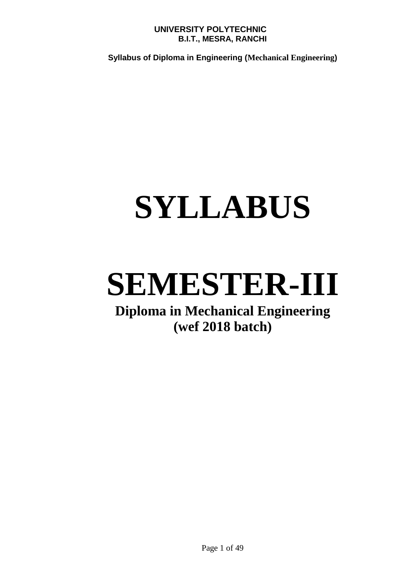**Syllabus of Diploma in Engineering (Mechanical Engineering)**

## **SYLLABUS**

## **SEMESTER-III**

### **Diploma in Mechanical Engineering (wef 2018 batch)**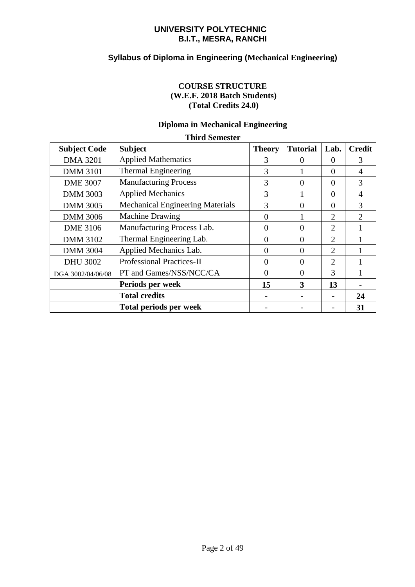#### **Syllabus of Diploma in Engineering (Mechanical Engineering)**

#### **COURSE STRUCTURE (W.E.F. 2018 Batch Students) (Total Credits 24.0)**

#### **Diploma in Mechanical Engineering**

| <b>Third Semester</b> |                                         |               |                 |                |                             |  |
|-----------------------|-----------------------------------------|---------------|-----------------|----------------|-----------------------------|--|
| <b>Subject Code</b>   | <b>Subject</b>                          | <b>Theory</b> | <b>Tutorial</b> | Lab.           | <b>Credit</b>               |  |
| <b>DMA 3201</b>       | <b>Applied Mathematics</b>              | 3             | $\Omega$        | $\Omega$       | 3                           |  |
| <b>DMM 3101</b>       | Thermal Engineering                     | 3             |                 | $\Omega$       | $\overline{A}$              |  |
| <b>DME 3007</b>       | <b>Manufacturing Process</b>            | 3             | $\theta$        | $\Omega$       | 3                           |  |
| <b>DMM 3003</b>       | <b>Applied Mechanics</b>                | 3             |                 | $\Omega$       | $\overline{A}$              |  |
| <b>DMM 3005</b>       | <b>Mechanical Engineering Materials</b> | 3             | 0               | $\Omega$       | 3                           |  |
| <b>DMM 3006</b>       | <b>Machine Drawing</b>                  | 0             |                 | $\overline{2}$ | $\mathcal{D}_{\mathcal{L}}$ |  |
| <b>DME 3106</b>       | Manufacturing Process Lab.              | $\Omega$      | $\theta$        | $\overline{2}$ |                             |  |
| <b>DMM 3102</b>       | Thermal Engineering Lab.                | $\Omega$      | 0               | $\overline{2}$ |                             |  |
| <b>DMM 3004</b>       | Applied Mechanics Lab.                  | $\Omega$      | 0               | $\overline{2}$ |                             |  |
| <b>DHU 3002</b>       | <b>Professional Practices-II</b>        | $\Omega$      | $\Omega$        | $\overline{2}$ |                             |  |
| DGA 3002/04/06/08     | PT and Games/NSS/NCC/CA                 | $\Omega$      | $\Omega$        | 3              |                             |  |
|                       | Periods per week                        | 15            | 3               | 13             |                             |  |
|                       | <b>Total credits</b>                    |               |                 |                | 24                          |  |
|                       | <b>Total periods per week</b>           |               |                 |                | 31                          |  |

#### Page 2 of 49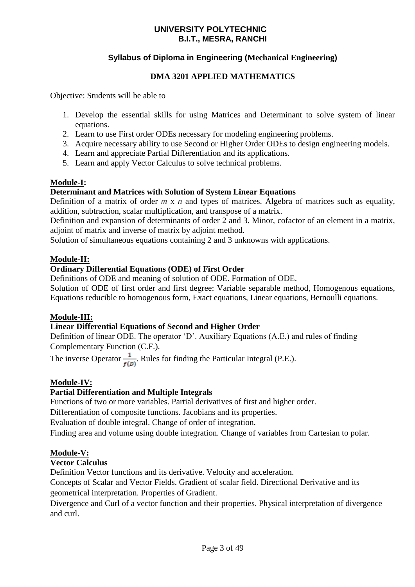#### **Syllabus of Diploma in Engineering (Mechanical Engineering)**

#### **DMA 3201 APPLIED MATHEMATICS**

Objective: Students will be able to

- 1. Develop the essential skills for using Matrices and Determinant to solve system of linear equations.
- 2. Learn to use First order ODEs necessary for modeling engineering problems.
- 3. Acquire necessary ability to use Second or Higher Order ODEs to design engineering models.
- 4. Learn and appreciate Partial Differentiation and its applications.
- 5. Learn and apply Vector Calculus to solve technical problems.

#### **Module-I:**

#### **Determinant and Matrices with Solution of System Linear Equations**

Definition of a matrix of order *m* x *n* and types of matrices. Algebra of matrices such as equality, addition, subtraction, scalar multiplication, and transpose of a matrix.

Definition and expansion of determinants of order 2 and 3. Minor, cofactor of an element in a matrix, adjoint of matrix and inverse of matrix by adjoint method.

Solution of simultaneous equations containing 2 and 3 unknowns with applications.

#### **Module-II:**

#### **Ordinary Differential Equations (ODE) of First Order**

Definitions of ODE and meaning of solution of ODE. Formation of ODE.

Solution of ODE of first order and first degree: Variable separable method, Homogenous equations, Equations reducible to homogenous form, Exact equations, Linear equations, Bernoulli equations.

#### **Module-III:**

#### **Linear Differential Equations of Second and Higher Order**

Definition of linear ODE. The operator 'D'. Auxiliary Equations (A.E.) and rules of finding Complementary Function (C.F.).

The inverse Operator  $\frac{1}{f(D)}$ . Rules for finding the Particular Integral (P.E.).

#### **Module-IV:**

#### **Partial Differentiation and Multiple Integrals**

Functions of two or more variables. Partial derivatives of first and higher order.

Differentiation of composite functions. Jacobians and its properties.

Evaluation of double integral. Change of order of integration.

Finding area and volume using double integration. Change of variables from Cartesian to polar.

#### **Module-V:**

#### **Vector Calculus**

Definition Vector functions and its derivative. Velocity and acceleration.

Concepts of Scalar and Vector Fields. Gradient of scalar field. Directional Derivative and its geometrical interpretation. Properties of Gradient.

Divergence and Curl of a vector function and their properties. Physical interpretation of divergence and curl.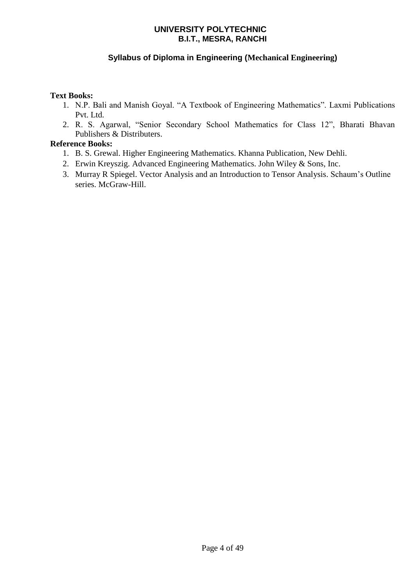#### **Syllabus of Diploma in Engineering (Mechanical Engineering)**

#### **Text Books:**

- 1. N.P. Bali and Manish Goyal. "A Textbook of Engineering Mathematics". Laxmi Publications Pvt. Ltd.
- 2. R. S. Agarwal, "Senior Secondary School Mathematics for Class 12", Bharati Bhavan Publishers & Distributers.

#### **Reference Books:**

- 1. B. S. Grewal. Higher Engineering Mathematics. Khanna Publication, New Dehli.
- 2. Erwin Kreyszig. Advanced Engineering Mathematics. John Wiley & Sons, Inc.
- 3. Murray R Spiegel. Vector Analysis and an Introduction to Tensor Analysis. Schaum's Outline series. McGraw-Hill.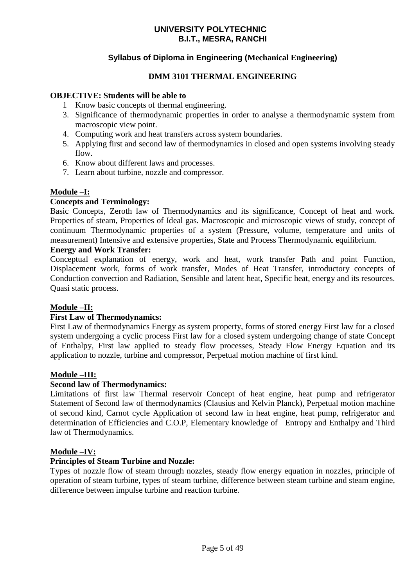#### **Syllabus of Diploma in Engineering (Mechanical Engineering)**

#### **DMM 3101 THERMAL ENGINEERING**

#### **OBJECTIVE: Students will be able to**

- 1 Know basic concepts of thermal engineering.
- 3. Significance of thermodynamic properties in order to analyse a thermodynamic system from macroscopic view point.
- 4. Computing work and heat transfers across system boundaries.
- 5. Applying first and second law of thermodynamics in closed and open systems involving steady flow.
- 6. Know about different laws and processes.
- 7. Learn about turbine, nozzle and compressor.

#### **Module –I:**

#### **Concepts and Terminology:**

Basic Concepts, Zeroth law of Thermodynamics and its significance, Concept of heat and work. Properties of steam, Properties of Ideal gas. Macroscopic and microscopic views of study, concept of continuum Thermodynamic properties of a system (Pressure, volume, temperature and units of measurement) Intensive and extensive properties, State and Process Thermodynamic equilibrium.

#### **Energy and Work Transfer:**

Conceptual explanation of energy, work and heat, work transfer Path and point Function, Displacement work, forms of work transfer, Modes of Heat Transfer, introductory concepts of Conduction convection and Radiation, Sensible and latent heat, Specific heat, energy and its resources. Quasi static process.

#### **Module –II:**

#### **First Law of Thermodynamics:**

First Law of thermodynamics Energy as system property, forms of stored energy First law for a closed system undergoing a cyclic process First law for a closed system undergoing change of state Concept of Enthalpy, First law applied to steady flow processes, Steady Flow Energy Equation and its application to nozzle, turbine and compressor, Perpetual motion machine of first kind.

#### **Module –III:**

#### **Second law of Thermodynamics:**

Limitations of first law Thermal reservoir Concept of heat engine, heat pump and refrigerator Statement of Second law of thermodynamics (Clausius and Kelvin Planck), Perpetual motion machine of second kind, Carnot cycle Application of second law in heat engine, heat pump, refrigerator and determination of Efficiencies and C.O.P, Elementary knowledge of Entropy and Enthalpy and Third law of Thermodynamics.

#### **Module –IV:**

#### **Principles of Steam Turbine and Nozzle:**

Types of nozzle flow of steam through nozzles, steady flow energy equation in nozzles, principle of operation of steam turbine, types of steam turbine, difference between steam turbine and steam engine, difference between impulse turbine and reaction turbine.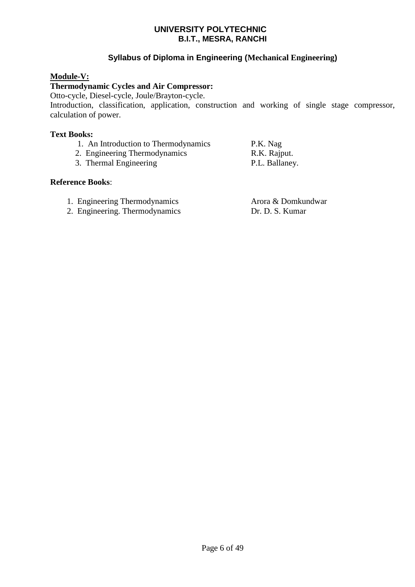#### **Syllabus of Diploma in Engineering (Mechanical Engineering)**

#### **Module-V:**

#### **Thermodynamic Cycles and Air Compressor:**

Otto-cycle, Diesel-cycle, Joule/Brayton-cycle.

Introduction, classification, application, construction and working of single stage compressor, calculation of power.

#### **Text Books:**

- 1. An Introduction to Thermodynamics P.K. Nag
- 2. Engineering Thermodynamics R.K. Rajput.
- 3. Thermal Engineering P.L. Ballaney.

#### **Reference Books**:

- 1. Engineering Thermodynamics Arora & Domkundwar
- 2. Engineering. Thermodynamics Dr. D. S. Kumar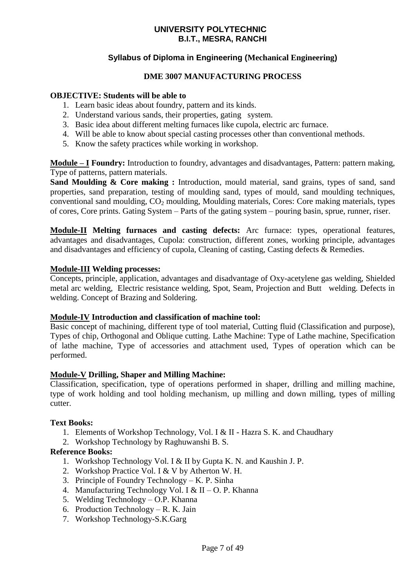#### **Syllabus of Diploma in Engineering (Mechanical Engineering)**

#### **DME 3007 MANUFACTURING PROCESS**

#### **OBJECTIVE: Students will be able to**

- 1. Learn basic ideas about foundry, pattern and its kinds.
- 2. Understand various sands, their properties, gating system.
- 3. Basic idea about different melting furnaces like cupola, electric arc furnace.
- 4. Will be able to know about special casting processes other than conventional methods.
- 5. Know the safety practices while working in workshop.

**Module – I Foundry:** Introduction to foundry, advantages and disadvantages, Pattern: pattern making, Type of patterns, pattern materials.

**Sand Moulding & Core making :** Introduction, mould material, sand grains, types of sand, sand properties, sand preparation, testing of moulding sand, types of mould, sand moulding techniques, conventional sand moulding,  $CO<sub>2</sub>$  moulding, Moulding materials, Cores: Core making materials, types of cores, Core prints. Gating System – Parts of the gating system – pouring basin, sprue, runner, riser.

**Module-II Melting furnaces and casting defects:** Arc furnace: types, operational features, advantages and disadvantages, Cupola: construction, different zones, working principle, advantages and disadvantages and efficiency of cupola, Cleaning of casting, Casting defects & Remedies.

#### **Module-III Welding processes:**

Concepts, principle, application, advantages and disadvantage of Oxy-acetylene gas welding, Shielded metal arc welding, Electric resistance welding, Spot, Seam, Projection and Butt welding. Defects in welding. Concept of Brazing and Soldering.

#### **Module-IV Introduction and classification of machine tool:**

Basic concept of machining, different type of tool material, Cutting fluid (Classification and purpose), Types of chip, Orthogonal and Oblique cutting. Lathe Machine: Type of Lathe machine, Specification of lathe machine, Type of accessories and attachment used, Types of operation which can be performed.

#### **Module-V Drilling, Shaper and Milling Machine:**

Classification, specification, type of operations performed in shaper, drilling and milling machine, type of work holding and tool holding mechanism, up milling and down milling, types of milling cutter.

#### **Text Books:**

- 1. Elements of Workshop Technology, Vol. I & II Hazra S. K. and Chaudhary
- 2. Workshop Technology by Raghuwanshi B. S.

#### **Reference Books:**

- 1. Workshop Technology Vol. I & II by Gupta K. N. and Kaushin J. P.
- 2. Workshop Practice Vol. I & V by Atherton W. H.
- 3. Principle of Foundry Technology K. P. Sinha
- 4. Manufacturing Technology Vol. I & II O. P. Khanna
- 5. Welding Technology O.P. Khanna
- 6. Production Technology R. K. Jain
- 7. Workshop Technology-S.K.Garg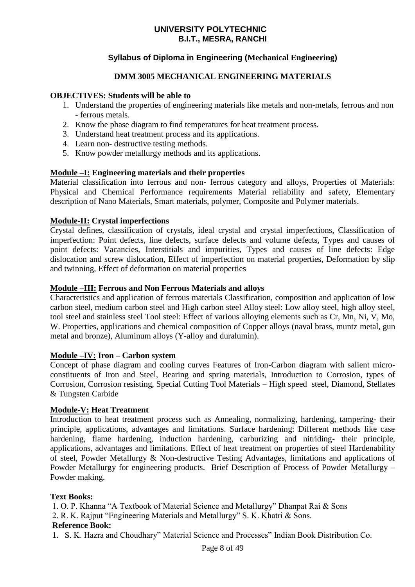#### **Syllabus of Diploma in Engineering (Mechanical Engineering)**

#### **DMM 3005 MECHANICAL ENGINEERING MATERIALS**

#### **OBJECTIVES: Students will be able to**

- 1. Understand the properties of engineering materials like metals and non-metals, ferrous and non - ferrous metals.
- 2. Know the phase diagram to find temperatures for heat treatment process.
- 3. Understand heat treatment process and its applications.
- 4. Learn non- destructive testing methods.
- 5. Know powder metallurgy methods and its applications.

#### **Module –I: Engineering materials and their properties**

Material classification into ferrous and non- ferrous category and alloys, Properties of Materials: Physical and Chemical Performance requirements Material reliability and safety, Elementary description of Nano Materials, Smart materials, polymer, Composite and Polymer materials.

#### **Module-II: Crystal imperfections**

Crystal defines, classification of crystals, ideal crystal and crystal imperfections, Classification of imperfection: Point defects, line defects, surface defects and volume defects, Types and causes of point defects: Vacancies, Interstitials and impurities, Types and causes of line defects: Edge dislocation and screw dislocation, Effect of imperfection on material properties, Deformation by slip and twinning, Effect of deformation on material properties

#### **Module –III: Ferrous and Non Ferrous Materials and alloys**

Characteristics and application of ferrous materials Classification, composition and application of low carbon steel, medium carbon steel and High carbon steel Alloy steel: Low alloy steel, high alloy steel, tool steel and stainless steel Tool steel: Effect of various alloying elements such as Cr, Mn, Ni, V, Mo, W. Properties, applications and chemical composition of Copper alloys (naval brass, muntz metal, gun metal and bronze), Aluminum alloys (Y-alloy and duralumin).

#### **Module –IV: Iron – Carbon system**

Concept of phase diagram and cooling curves Features of Iron-Carbon diagram with salient microconstituents of Iron and Steel, Bearing and spring materials, Introduction to Corrosion, types of Corrosion, Corrosion resisting, Special Cutting Tool Materials – High speed steel, Diamond, Stellates & Tungsten Carbide

#### **Module-V: Heat Treatment**

Introduction to heat treatment process such as Annealing, normalizing, hardening, tampering- their principle, applications, advantages and limitations. Surface hardening: Different methods like case hardening, flame hardening, induction hardening, carburizing and nitriding- their principle, applications, advantages and limitations. Effect of heat treatment on properties of steel Hardenability of steel, Powder Metallurgy & Non-destructive Testing Advantages, limitations and applications of Powder Metallurgy for engineering products. Brief Description of Process of Powder Metallurgy – Powder making.

#### **Text Books:**

1. O. P. Khanna "A Textbook of Material Science and Metallurgy" Dhanpat Rai & Sons

2. R. K. Rajput "Engineering Materials and Metallurgy" S. K. Khatri & Sons.

#### **Reference Book:**

1. S. K. Hazra and Choudhary" Material Science and Processes" Indian Book Distribution Co.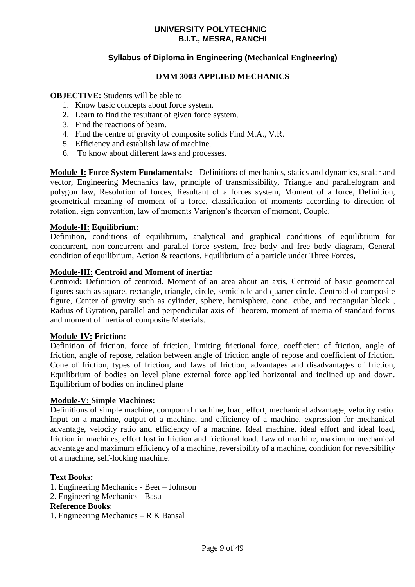#### **Syllabus of Diploma in Engineering (Mechanical Engineering)**

#### **DMM 3003 APPLIED MECHANICS**

#### **OBJECTIVE:** Students will be able to

- 1. Know basic concepts about force system.
- **2.** Learn to find the resultant of given force system.
- 3. Find the reactions of beam.
- 4. Find the centre of gravity of composite solids Find M.A., V.R.
- 5. Efficiency and establish law of machine.
- 6. To know about different laws and processes.

**Module-I: Force System Fundamentals: -** Definitions of mechanics, statics and dynamics, scalar and vector, Engineering Mechanics law, principle of transmissibility, Triangle and parallelogram and polygon law, Resolution of forces, Resultant of a forces system, Moment of a force, Definition, geometrical meaning of moment of a force, classification of moments according to direction of rotation, sign convention, law of moments Varignon's theorem of moment, Couple.

#### **Module-II: Equilibrium:**

Definition, conditions of equilibrium, analytical and graphical conditions of equilibrium for concurrent, non-concurrent and parallel force system, free body and free body diagram, General condition of equilibrium, Action & reactions, Equilibrium of a particle under Three Forces,

#### **Module-III: Centroid and Moment of inertia:**

Centroid**:** Definition of centroid. Moment of an area about an axis, Centroid of basic geometrical figures such as square, rectangle, triangle, circle, semicircle and quarter circle. Centroid of composite figure, Center of gravity such as cylinder, sphere, hemisphere, cone, cube, and rectangular block , Radius of Gyration, parallel and perpendicular axis of Theorem, moment of inertia of standard forms and moment of inertia of composite Materials.

#### **Module-IV: Friction:**

Definition of friction, force of friction, limiting frictional force, coefficient of friction, angle of friction, angle of repose, relation between angle of friction angle of repose and coefficient of friction. Cone of friction, types of friction, and laws of friction, advantages and disadvantages of friction, Equilibrium of bodies on level plane external force applied horizontal and inclined up and down. Equilibrium of bodies on inclined plane

#### **Module-V: Simple Machines:**

Definitions of simple machine, compound machine, load, effort, mechanical advantage, velocity ratio. Input on a machine, output of a machine, and efficiency of a machine, expression for mechanical advantage, velocity ratio and efficiency of a machine. Ideal machine, ideal effort and ideal load, friction in machines, effort lost in friction and frictional load. Law of machine, maximum mechanical advantage and maximum efficiency of a machine, reversibility of a machine, condition for reversibility of a machine, self-locking machine.

#### **Text Books:**

- 1. Engineering Mechanics Beer Johnson
- 2. Engineering Mechanics Basu

#### **Reference Books**:

1. Engineering Mechanics – R K Bansal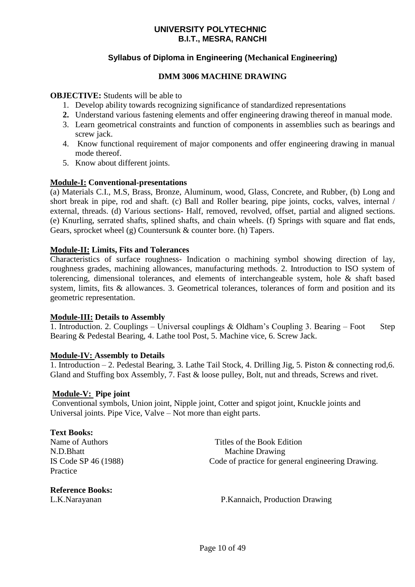#### **Syllabus of Diploma in Engineering (Mechanical Engineering)**

#### **DMM 3006 MACHINE DRAWING**

**OBJECTIVE:** Students will be able to

- 1. Develop ability towards recognizing significance of standardized representations
- **2.** Understand various fastening elements and offer engineering drawing thereof in manual mode.
- 3. Learn geometrical constraints and function of components in assemblies such as bearings and screw jack.
- 4. Know functional requirement of major components and offer engineering drawing in manual mode thereof.
- 5. Know about different joints.

#### **Module-I: Conventional-presentations**

(a) Materials C.I., M.S, Brass, Bronze, Aluminum, wood, Glass, Concrete, and Rubber, (b) Long and short break in pipe, rod and shaft. (c) Ball and Roller bearing, pipe joints, cocks, valves, internal / external, threads. (d) Various sections- Half, removed, revolved, offset, partial and aligned sections. (e) Knurling, serrated shafts, splined shafts, and chain wheels. (f) Springs with square and flat ends, Gears, sprocket wheel (g) Countersunk & counter bore. (h) Tapers.

#### **Module-II: Limits, Fits and Tolerances**

Characteristics of surface roughness- Indication o machining symbol showing direction of lay, roughness grades, machining allowances, manufacturing methods. 2. Introduction to ISO system of tolerencing, dimensional tolerances, and elements of interchangeable system, hole & shaft based system, limits, fits & allowances. 3. Geometrical tolerances, tolerances of form and position and its geometric representation.

#### **Module-III: Details to Assembly**

1. Introduction. 2. Couplings – Universal couplings & Oldham's Coupling 3. Bearing – Foot Step Bearing & Pedestal Bearing, 4. Lathe tool Post, 5. Machine vice, 6. Screw Jack.

#### **Module-IV: Assembly to Details**

1. Introduction – 2. Pedestal Bearing, 3. Lathe Tail Stock, 4. Drilling Jig, 5. Piston & connecting rod,6. Gland and Stuffing box Assembly, 7. Fast & loose pulley, Bolt, nut and threads, Screws and rivet.

#### **Module-V: Pipe joint**

Conventional symbols, Union joint, Nipple joint, Cotter and spigot joint, Knuckle joints and Universal joints. Pipe Vice, Valve – Not more than eight parts.

#### **Text Books:**

Practice

Name of Authors Titles of the Book Edition N.D.Bhatt Machine Drawing IS Code SP 46 (1988) Code of practice for general engineering Drawing.

**Reference Books:**

L.K.Narayanan P.Kannaich, Production Drawing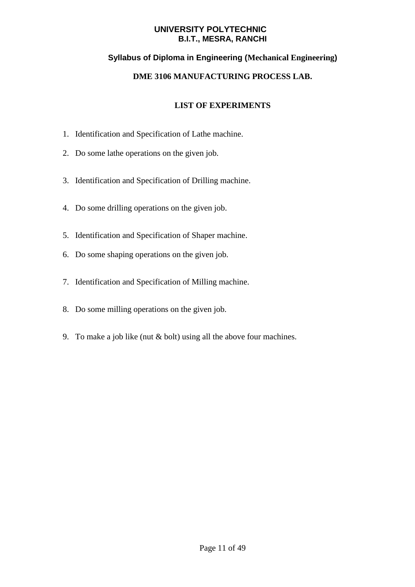#### **Syllabus of Diploma in Engineering (Mechanical Engineering)**

#### **DME 3106 MANUFACTURING PROCESS LAB.**

- 1. Identification and Specification of Lathe machine.
- 2. Do some lathe operations on the given job.
- 3. Identification and Specification of Drilling machine.
- 4. Do some drilling operations on the given job.
- 5. Identification and Specification of Shaper machine.
- 6. Do some shaping operations on the given job.
- 7. Identification and Specification of Milling machine.
- 8. Do some milling operations on the given job.
- 9. To make a job like (nut & bolt) using all the above four machines.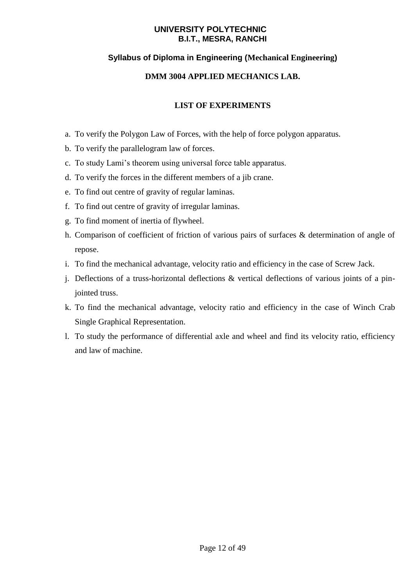#### **Syllabus of Diploma in Engineering (Mechanical Engineering)**

#### **DMM 3004 APPLIED MECHANICS LAB.**

- a. To verify the Polygon Law of Forces, with the help of force polygon apparatus.
- b. To verify the parallelogram law of forces.
- c. To study Lami's theorem using universal force table apparatus.
- d. To verify the forces in the different members of a jib crane.
- e. To find out centre of gravity of regular laminas.
- f. To find out centre of gravity of irregular laminas.
- g. To find moment of inertia of flywheel.
- h. Comparison of coefficient of friction of various pairs of surfaces & determination of angle of repose.
- i. To find the mechanical advantage, velocity ratio and efficiency in the case of Screw Jack.
- j. Deflections of a truss-horizontal deflections & vertical deflections of various joints of a pinjointed truss.
- k. To find the mechanical advantage, velocity ratio and efficiency in the case of Winch Crab Single Graphical Representation.
- l. To study the performance of differential axle and wheel and find its velocity ratio, efficiency and law of machine.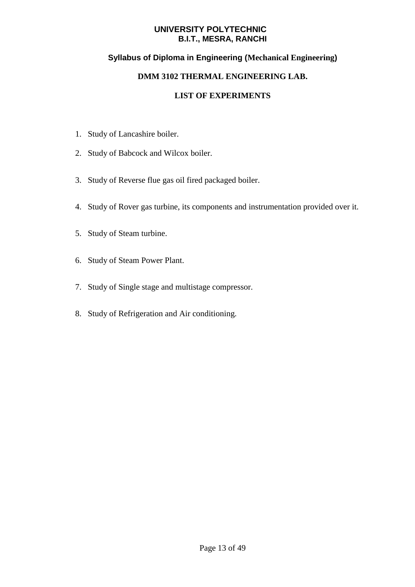#### **Syllabus of Diploma in Engineering (Mechanical Engineering)**

#### **DMM 3102 THERMAL ENGINEERING LAB.**

- 1. Study of Lancashire boiler.
- 2. Study of Babcock and Wilcox boiler.
- 3. Study of Reverse flue gas oil fired packaged boiler.
- 4. Study of Rover gas turbine, its components and instrumentation provided over it.
- 5. Study of Steam turbine.
- 6. Study of Steam Power Plant.
- 7. Study of Single stage and multistage compressor.
- 8. Study of Refrigeration and Air conditioning.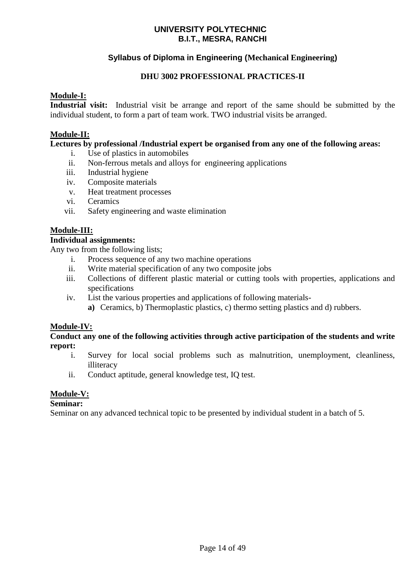#### **Syllabus of Diploma in Engineering (Mechanical Engineering)**

#### **DHU 3002 PROFESSIONAL PRACTICES-II**

#### **Module-I:**

**Industrial visit:** Industrial visit be arrange and report of the same should be submitted by the individual student, to form a part of team work. TWO industrial visits be arranged.

#### **Module-II:**

#### **Lectures by professional /Industrial expert be organised from any one of the following areas:**

- i. Use of plastics in automobiles
- ii. Non-ferrous metals and alloys for engineering applications
- iii. Industrial hygiene
- iv. Composite materials
- v. Heat treatment processes
- vi. Ceramics
- vii. Safety engineering and waste elimination

#### **Module-III:**

#### **Individual assignments:**

Any two from the following lists;

- i. Process sequence of any two machine operations
- ii. Write material specification of any two composite jobs
- iii. Collections of different plastic material or cutting tools with properties, applications and specifications
- iv. List the various properties and applications of following materials
	- **a)** Ceramics, b) Thermoplastic plastics, c) thermo setting plastics and d) rubbers.

#### **Module-IV:**

#### **Conduct any one of the following activities through active participation of the students and write report:**

- i. Survey for local social problems such as malnutrition, unemployment, cleanliness, illiteracy
- ii. Conduct aptitude, general knowledge test, IQ test.

#### **Module-V:**

#### **Seminar:**

Seminar on any advanced technical topic to be presented by individual student in a batch of 5.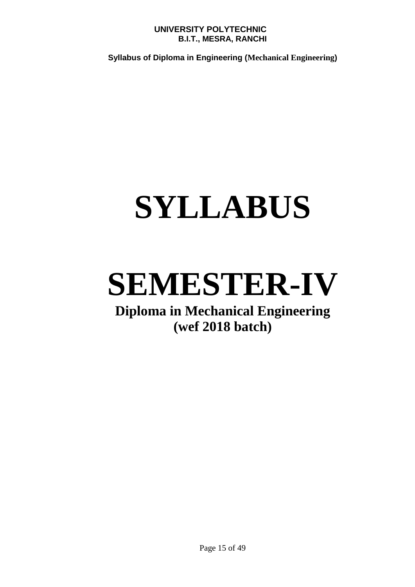**Syllabus of Diploma in Engineering (Mechanical Engineering)**

## **SYLLABUS**

### **SEMESTER-IV**

### **Diploma in Mechanical Engineering (wef 2018 batch)**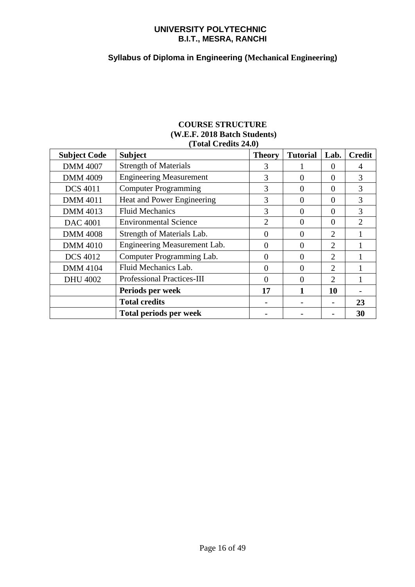#### **Syllabus of Diploma in Engineering (Mechanical Engineering)**

#### **COURSE STRUCTURE (W.E.F. 2018 Batch Students) (Total Credits 24.0)**

| <b>Subject Code</b> | <b>Subject</b>                    | <b>Theory</b>  | <b>Tutorial</b> | Lab.           | <b>Credit</b>               |
|---------------------|-----------------------------------|----------------|-----------------|----------------|-----------------------------|
| <b>DMM 4007</b>     | <b>Strength of Materials</b>      | 3              |                 | $\Omega$       | 4                           |
| <b>DMM 4009</b>     | <b>Engineering Measurement</b>    | 3              | 0               | $\Omega$       | 3                           |
| <b>DCS 4011</b>     | <b>Computer Programming</b>       | 3              | 0               | $\Omega$       | 3                           |
| <b>DMM 4011</b>     | Heat and Power Engineering        | 3              | $\theta$        | $\Omega$       | 3                           |
| <b>DMM 4013</b>     | <b>Fluid Mechanics</b>            | 3              | 0               | $\Omega$       | 3                           |
| <b>DAC 4001</b>     | <b>Environmental Science</b>      | $\overline{2}$ | 0               | $\Omega$       | $\mathcal{D}_{\mathcal{L}}$ |
| <b>DMM 4008</b>     | Strength of Materials Lab.        | $\Omega$       | 0               | $\overline{2}$ |                             |
| <b>DMM 4010</b>     | Engineering Measurement Lab.      | $\Omega$       | $\Omega$        | $\overline{2}$ |                             |
| <b>DCS 4012</b>     | Computer Programming Lab.         | $\Omega$       | 0               | 2              |                             |
| <b>DMM 4104</b>     | Fluid Mechanics Lab.              | $\Omega$       | 0               | $\overline{2}$ |                             |
| <b>DHU 4002</b>     | <b>Professional Practices-III</b> | $\Omega$       | 0               | $\overline{2}$ |                             |
|                     | Periods per week                  | 17             |                 | 10             |                             |
|                     | <b>Total credits</b>              |                |                 |                | 23                          |
|                     | <b>Total periods per week</b>     |                |                 |                | 30                          |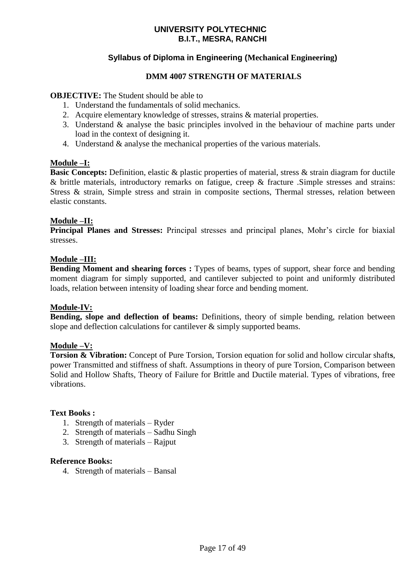#### **Syllabus of Diploma in Engineering (Mechanical Engineering)**

#### **DMM 4007 STRENGTH OF MATERIALS**

#### **OBJECTIVE:** The Student should be able to

- 1. Understand the fundamentals of solid mechanics.
- 2. Acquire elementary knowledge of stresses, strains & material properties.
- 3. Understand & analyse the basic principles involved in the behaviour of machine parts under load in the context of designing it.
- 4. Understand & analyse the mechanical properties of the various materials.

#### **Module –I:**

**Basic Concepts:** Definition, elastic & plastic properties of material, stress & strain diagram for ductile & brittle materials, introductory remarks on fatigue, creep & fracture .Simple stresses and strains: Stress & strain, Simple stress and strain in composite sections, Thermal stresses, relation between elastic constants.

#### **Module –II:**

**Principal Planes and Stresses:** Principal stresses and principal planes, Mohr's circle for biaxial stresses.

#### **Module –III:**

**Bending Moment and shearing forces :** Types of beams, types of support, shear force and bending moment diagram for simply supported, and cantilever subjected to point and uniformly distributed loads, relation between intensity of loading shear force and bending moment.

#### **Module-IV:**

**Bending, slope and deflection of beams:** Definitions, theory of simple bending, relation between slope and deflection calculations for cantilever  $\&$  simply supported beams.

#### **Module –V:**

**Torsion & Vibration:** Concept of Pure Torsion, Torsion equation for solid and hollow circular shaft**s**, power Transmitted and stiffness of shaft. Assumptions in theory of pure Torsion, Comparison between Solid and Hollow Shafts, Theory of Failure for Brittle and Ductile material. Types of vibrations, free vibrations.

#### **Text Books :**

- 1. Strength of materials Ryder
- 2. Strength of materials Sadhu Singh
- 3. Strength of materials Rajput

#### **Reference Books:**

4. Strength of materials – Bansal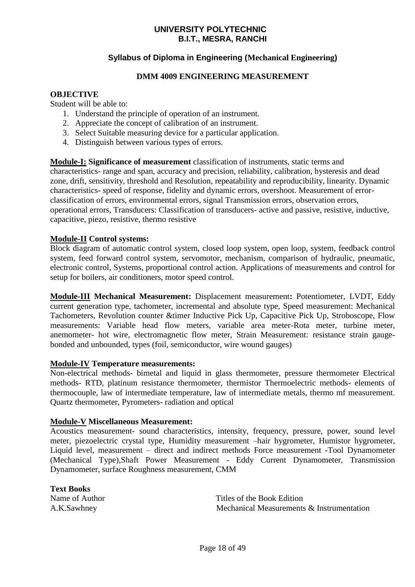#### **Syllabus of Diploma in Engineering (Mechanical Engineering)**

#### **DMM 4009 ENGINEERING MEASUREMENT**

#### **OBJECTIVE**

Student will be able to:

- 1. Understand the principle of operation of an instrument.
- 2. Appreciate the concept of calibration of an instrument.
- 3. Select Suitable measuring device for a particular application.
- 4. Distinguish between various types of errors.

**Module-I: Significance of measurement** classification of instruments, static terms and characteristics- range and span, accuracy and precision, reliability, calibration, hysteresis and dead zone, drift, sensitivity, threshold and Resolution, repeatability and reproducibility, linearity. Dynamic characteristics- speed of response, fidelity and dynamic errors, overshoot. Measurement of errorclassification of errors, environmental errors, signal Transmission errors, observation errors, operational errors, Transducers: Classification of transducers- active and passive, resistive, inductive, capacitive, piezo, resistive, thermo resistive

#### **Module-II Control systems:**

Block diagram of automatic control system, closed loop system, open loop, system, feedback control system, feed forward control system, servomotor, mechanism, comparison of hydraulic, pneumatic, electronic control, Systems, proportional control action. Applications of measurements and control for setup for boilers, air conditioners, motor speed control.

**Module-III Mechanical Measurement:** Displacement measurement**:** Potentiometer, LVDT, Eddy current generation type, tachometer, incremental and absolute type, Speed measurement: Mechanical Tachometers, Revolution counter &timer Inductive Pick Up, Capacitive Pick Up, Stroboscope, Flow measurements: Variable head flow meters, variable area meter-Rota meter, turbine meter, anemometer- hot wire, electromagnetic flow meter, Strain Measurement: resistance strain gaugebonded and unbounded, types (foil, semiconductor, wire wound gauges)

#### **Module-IV Temperature measurements:**

Non-electrical methods- bimetal and liquid in glass thermometer, pressure thermometer Electrical methods- RTD, platinum resistance thermometer, thermistor Thermoelectric methods- elements of thermocouple, law of intermediate temperature, law of intermediate metals, thermo mf measurement. Quartz thermometer, Pyrometers- radiation and optical

#### **Module-V Miscellaneous Measurement:**

Acoustics measurement- sound characteristics, intensity, frequency, pressure, power, sound level meter, piezoelectric crystal type, Humidity measurement –hair hygrometer, Humistor hygrometer, Liquid level, measurement – direct and indirect methods Force measurement -Tool Dynamometer (Mechanical Type),Shaft Power Measurement - Eddy Current Dynamometer, Transmission Dynamometer, surface Roughness measurement, CMM

**Text Books**

Name of Author Titles of the Book Edition A.K.Sawhney Mechanical Measurements & Instrumentation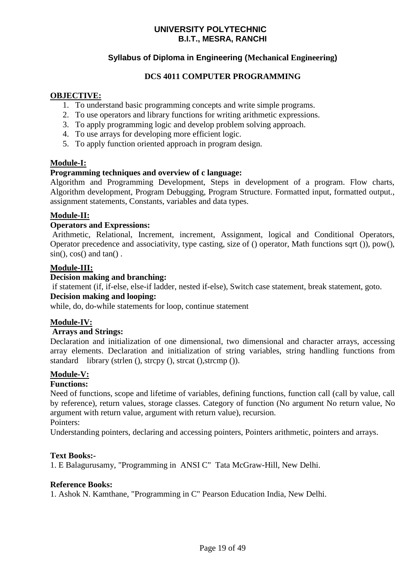#### **Syllabus of Diploma in Engineering (Mechanical Engineering)**

#### **DCS 4011 COMPUTER PROGRAMMING**

#### **OBJECTIVE:**

- 1. To understand basic programming concepts and write simple programs.
- 2. To use operators and library functions for writing arithmetic expressions.
- 3. To apply programming logic and develop problem solving approach.
- 4. To use arrays for developing more efficient logic.
- 5. To apply function oriented approach in program design.

#### **Module-I:**

#### **Programming techniques and overview of c language:**

Algorithm and Programming Development, Steps in development of a program. Flow charts, Algorithm development, Program Debugging, Program Structure. Formatted input, formatted output., assignment statements, Constants, variables and data types.

#### **Module-II:**

#### **Operators and Expressions:**

Arithmetic, Relational, Increment, increment, Assignment, logical and Conditional Operators, Operator precedence and associativity, type casting, size of () operator, Math functions sqrt ()), pow().  $sin($ ,  $cos($ ) and  $tan($ ).

#### **Module-III:**

#### **Decision making and branching:**

if statement (if, if-else, else-if ladder, nested if-else), Switch case statement, break statement, goto.

#### **Decision making and looping:**

while, do, do-while statements for loop, continue statement

#### **Module-IV:**

#### **Arrays and Strings:**

Declaration and initialization of one dimensional, two dimensional and character arrays, accessing array elements. Declaration and initialization of string variables, string handling functions from standard library (strlen (), strcpy (), strcat (), strcmp ()).

#### **Module-V:**

#### **Functions:**

Need of functions, scope and lifetime of variables, defining functions, function call (call by value, call by reference), return values, storage classes. Category of function (No argument No return value, No argument with return value, argument with return value), recursion. Pointers:

Understanding pointers, declaring and accessing pointers, Pointers arithmetic, pointers and arrays.

#### **Text Books:-**

1. E Balagurusamy, "Programming in ANSI C" Tata McGraw-Hill, New Delhi.

#### **Reference Books:**

1. Ashok N. Kamthane, "Programming in C" Pearson Education India, New Delhi.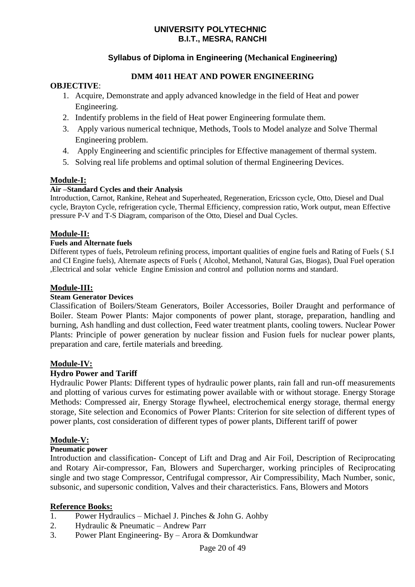#### **Syllabus of Diploma in Engineering (Mechanical Engineering)**

#### **DMM 4011 HEAT AND POWER ENGINEERING**

#### **OBJECTIVE**:

- 1. Acquire, Demonstrate and apply advanced knowledge in the field of Heat and power Engineering.
- 2. Indentify problems in the field of Heat power Engineering formulate them.
- 3. Apply various numerical technique, Methods, Tools to Model analyze and Solve Thermal Engineering problem.
- 4. Apply Engineering and scientific principles for Effective management of thermal system.
- 5. Solving real life problems and optimal solution of thermal Engineering Devices.

#### **Module-I:**

#### **Air –Standard Cycles and their Analysis**

Introduction, Carnot, Rankine, Reheat and Superheated, Regeneration, Ericsson cycle, Otto, Diesel and Dual cycle, Brayton Cycle, refrigeration cycle, Thermal Efficiency, compression ratio, Work output, mean Effective pressure P-V and T-S Diagram, comparison of the Otto, Diesel and Dual Cycles.

#### **Module-II:**

#### **Fuels and Alternate fuels**

Different types of fuels, Petroleum refining process, important qualities of engine fuels and Rating of Fuels ( S.I and CI Engine fuels), Alternate aspects of Fuels ( Alcohol, Methanol, Natural Gas, Biogas), Dual Fuel operation ,Electrical and solar vehicle Engine Emission and control and pollution norms and standard.

#### **Module-III:**

#### **Steam Generator Devices**

Classification of Boilers/Steam Generators, Boiler Accessories, Boiler Draught and performance of Boiler. Steam Power Plants: Major components of power plant, storage, preparation, handling and burning, Ash handling and dust collection, Feed water treatment plants, cooling towers. Nuclear Power Plants: Principle of power generation by nuclear fission and Fusion fuels for nuclear power plants, preparation and care, fertile materials and breeding.

#### **Module-IV:**

#### **Hydro Power and Tariff**

Hydraulic Power Plants: Different types of hydraulic power plants, rain fall and run-off measurements and plotting of various curves for estimating power available with or without storage. Energy Storage Methods: Compressed air, Energy Storage flywheel, electrochemical energy storage, thermal energy storage, Site selection and Economics of Power Plants: Criterion for site selection of different types of power plants, cost consideration of different types of power plants, Different tariff of power

#### **Module-V:**

#### **Pneumatic power**

Introduction and classification- Concept of Lift and Drag and Air Foil, Description of Reciprocating and Rotary Air-compressor, Fan, Blowers and Supercharger, working principles of Reciprocating single and two stage Compressor, Centrifugal compressor, Air Compressibility, Mach Number, sonic, subsonic, and supersonic condition, Valves and their characteristics. Fans, Blowers and Motors

#### **Reference Books:**

- 1. Power Hydraulics Michael J. Pinches & John G. Aohby
- 2. Hydraulic & Pneumatic Andrew Parr
- 3. Power Plant Engineering- By Arora & Domkundwar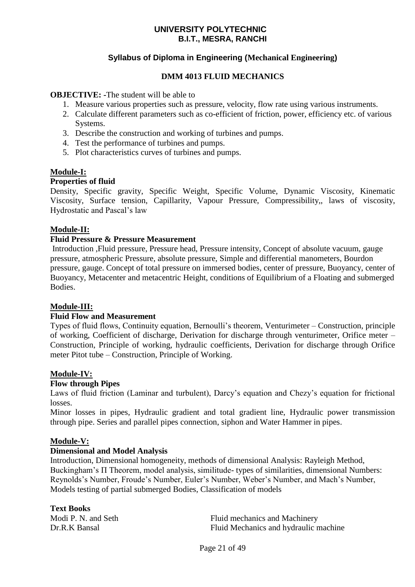#### **Syllabus of Diploma in Engineering (Mechanical Engineering)**

#### **DMM 4013 FLUID MECHANICS**

#### **OBJECTIVE:** -The student will be able to

- 1. Measure various properties such as pressure, velocity, flow rate using various instruments.
- 2. Calculate different parameters such as co-efficient of friction, power, efficiency etc. of various Systems.
- 3. Describe the construction and working of turbines and pumps.
- 4. Test the performance of turbines and pumps.
- 5. Plot characteristics curves of turbines and pumps.

#### **Module-I:**

#### **Properties of fluid**

Density, Specific gravity, Specific Weight, Specific Volume, Dynamic Viscosity, Kinematic Viscosity, Surface tension, Capillarity, Vapour Pressure, Compressibility,, laws of viscosity, Hydrostatic and Pascal's law

#### **Module-II:**

#### **Fluid Pressure & Pressure Measurement**

Introduction ,Fluid pressure, Pressure head, Pressure intensity, Concept of absolute vacuum, gauge pressure, atmospheric Pressure, absolute pressure, Simple and differential manometers, Bourdon pressure, gauge. Concept of total pressure on immersed bodies, center of pressure, Buoyancy, center of Buoyancy, Metacenter and metacentric Height, conditions of Equilibrium of a Floating and submerged Bodies.

#### **Module-III:**

#### **Fluid Flow and Measurement**

Types of fluid flows, Continuity equation, Bernoulli's theorem, Venturimeter – Construction, principle of working, Coefficient of discharge, Derivation for discharge through venturimeter, Orifice meter – Construction, Principle of working, hydraulic coefficients, Derivation for discharge through Orifice meter Pitot tube – Construction, Principle of Working.

#### **Module-IV:**

#### **Flow through Pipes**

Laws of fluid friction (Laminar and turbulent), Darcy's equation and Chezy's equation for frictional losses.

Minor losses in pipes, Hydraulic gradient and total gradient line, Hydraulic power transmission through pipe. Series and parallel pipes connection, siphon and Water Hammer in pipes.

#### **Module-V:**

#### **Dimensional and Model Analysis**

Introduction, Dimensional homogeneity, methods of dimensional Analysis: Rayleigh Method, Buckingham's Π Theorem, model analysis, similitude- types of similarities, dimensional Numbers: Reynolds's Number, Froude's Number, Euler's Number, Weber's Number, and Mach's Number, Models testing of partial submerged Bodies, Classification of models

#### **Text Books**

Modi P. N. and Seth Fluid mechanics and Machinery Dr.R.K Bansal Fluid Mechanics and hydraulic machine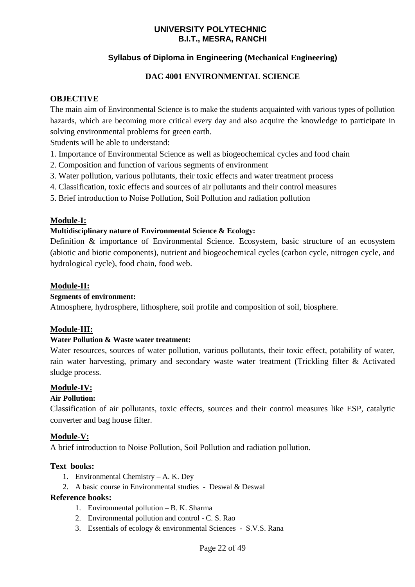#### **Syllabus of Diploma in Engineering (Mechanical Engineering)**

#### **DAC 4001 ENVIRONMENTAL SCIENCE**

#### **OBJECTIVE**

The main aim of Environmental Science is to make the students acquainted with various types of pollution hazards, which are becoming more critical every day and also acquire the knowledge to participate in solving environmental problems for green earth.

Students will be able to understand:

- 1. Importance of Environmental Science as well as biogeochemical cycles and food chain
- 2. Composition and function of various segments of environment
- 3. Water pollution, various pollutants, their toxic effects and water treatment process
- 4. Classification, toxic effects and sources of air pollutants and their control measures
- 5. Brief introduction to Noise Pollution, Soil Pollution and radiation pollution

#### **Module-I:**

#### **Multidisciplinary nature of Environmental Science & Ecology:**

Definition & importance of Environmental Science. Ecosystem, basic structure of an ecosystem (abiotic and biotic components), nutrient and biogeochemical cycles (carbon cycle, nitrogen cycle, and hydrological cycle), food chain, food web.

#### **Module-II:**

#### **Segments of environment:**

Atmosphere, hydrosphere, lithosphere, soil profile and composition of soil, biosphere.

#### **Module-III:**

#### **Water Pollution & Waste water treatment:**

Water resources, sources of water pollution, various pollutants, their toxic effect, potability of water, rain water harvesting, primary and secondary waste water treatment (Trickling filter & Activated sludge process.

#### **Module-IV:**

#### **Air Pollution:**

Classification of air pollutants, toxic effects, sources and their control measures like ESP, catalytic converter and bag house filter.

#### **Module-V:**

A brief introduction to Noise Pollution, Soil Pollution and radiation pollution.

#### **Text books:**

- 1. Environmental Chemistry A. K. Dey
- 2. A basic course in Environmental studies Deswal & Deswal

#### **Reference books:**

- 1. Environmental pollution B. K. Sharma
- 2. Environmental pollution and control C. S. Rao
- 3. Essentials of ecology & environmental Sciences S.V.S. Rana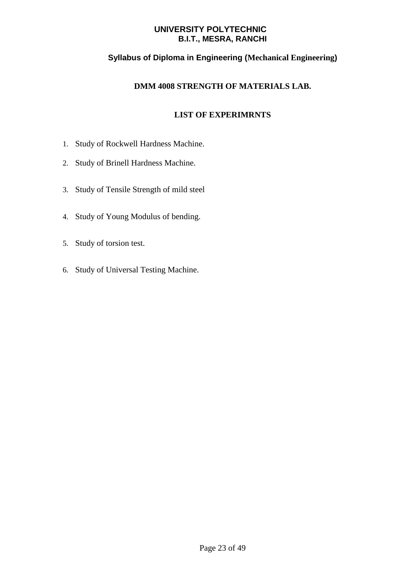#### **Syllabus of Diploma in Engineering (Mechanical Engineering)**

#### **DMM 4008 STRENGTH OF MATERIALS LAB.**

- 1. Study of Rockwell Hardness Machine.
- 2. Study of Brinell Hardness Machine.
- 3. Study of Tensile Strength of mild steel
- 4. Study of Young Modulus of bending.
- 5. Study of torsion test.
- 6. Study of Universal Testing Machine.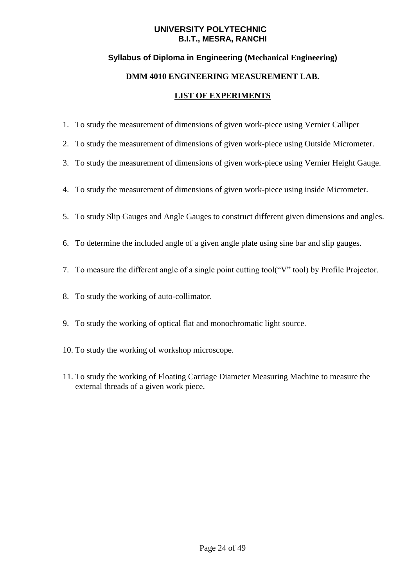#### **Syllabus of Diploma in Engineering (Mechanical Engineering)**

#### **DMM 4010 ENGINEERING MEASUREMENT LAB.**

- 1. To study the measurement of dimensions of given work-piece using Vernier Calliper
- 2. To study the measurement of dimensions of given work-piece using Outside Micrometer.
- 3. To study the measurement of dimensions of given work-piece using Vernier Height Gauge.
- 4. To study the measurement of dimensions of given work-piece using inside Micrometer.
- 5. To study Slip Gauges and Angle Gauges to construct different given dimensions and angles.
- 6. To determine the included angle of a given angle plate using sine bar and slip gauges.
- 7. To measure the different angle of a single point cutting tool("V" tool) by Profile Projector.
- 8. To study the working of auto-collimator.
- 9. To study the working of optical flat and monochromatic light source.
- 10. To study the working of workshop microscope.
- 11. To study the working of Floating Carriage Diameter Measuring Machine to measure the external threads of a given work piece.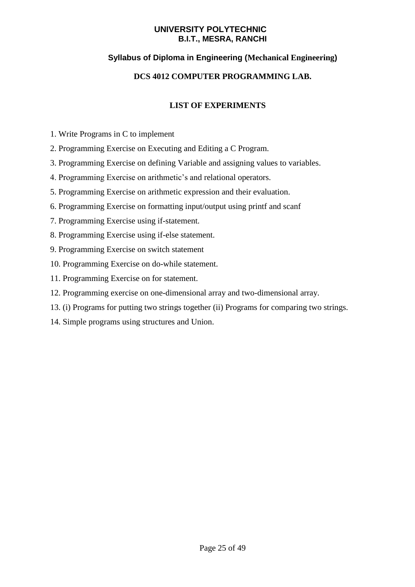#### **Syllabus of Diploma in Engineering (Mechanical Engineering)**

#### **DCS 4012 COMPUTER PROGRAMMING LAB.**

- 1. Write Programs in C to implement
- 2. Programming Exercise on Executing and Editing a C Program.
- 3. Programming Exercise on defining Variable and assigning values to variables.
- 4. Programming Exercise on arithmetic's and relational operators.
- 5. Programming Exercise on arithmetic expression and their evaluation.
- 6. Programming Exercise on formatting input/output using printf and scanf
- 7. Programming Exercise using if-statement.
- 8. Programming Exercise using if-else statement.
- 9. Programming Exercise on switch statement
- 10. Programming Exercise on do-while statement.
- 11. Programming Exercise on for statement.
- 12. Programming exercise on one-dimensional array and two-dimensional array.
- 13. (i) Programs for putting two strings together (ii) Programs for comparing two strings.
- 14. Simple programs using structures and Union.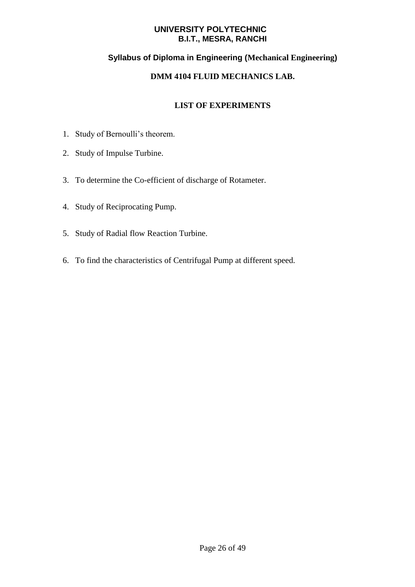#### **Syllabus of Diploma in Engineering (Mechanical Engineering)**

#### **DMM 4104 FLUID MECHANICS LAB.**

- 1. Study of Bernoulli's theorem.
- 2. Study of Impulse Turbine.
- 3. To determine the Co-efficient of discharge of Rotameter.
- 4. Study of Reciprocating Pump.
- 5. Study of Radial flow Reaction Turbine.
- 6. To find the characteristics of Centrifugal Pump at different speed.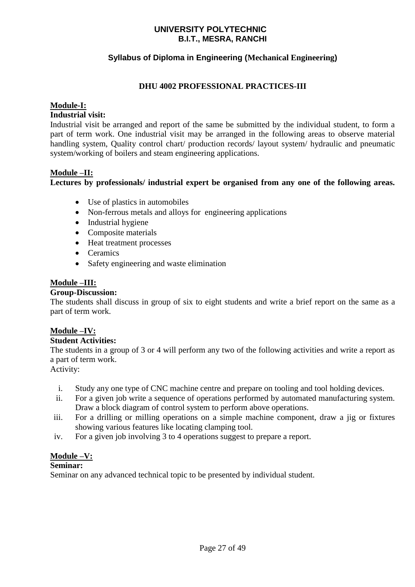#### **Syllabus of Diploma in Engineering (Mechanical Engineering)**

#### **DHU 4002 PROFESSIONAL PRACTICES-III**

#### **Module-I:**

#### **Industrial visit:**

Industrial visit be arranged and report of the same be submitted by the individual student, to form a part of term work. One industrial visit may be arranged in the following areas to observe material handling system, Quality control chart/ production records/ layout system/ hydraulic and pneumatic system/working of boilers and steam engineering applications.

#### **Module –II:**

**Lectures by professionals/ industrial expert be organised from any one of the following areas.**

- Use of plastics in automobiles
- Non-ferrous metals and alloys for engineering applications
- Industrial hygiene
- Composite materials
- Heat treatment processes
- Ceramics
- Safety engineering and waste elimination

#### **Module –III:**

#### **Group-Discussion:**

The students shall discuss in group of six to eight students and write a brief report on the same as a part of term work.

#### **Module –IV:**

#### **Student Activities:**

The students in a group of 3 or 4 will perform any two of the following activities and write a report as a part of term work.

#### Activity:

- i. Study any one type of CNC machine centre and prepare on tooling and tool holding devices.
- ii. For a given job write a sequence of operations performed by automated manufacturing system. Draw a block diagram of control system to perform above operations.
- iii. For a drilling or milling operations on a simple machine component, draw a jig or fixtures showing various features like locating clamping tool.
- iv. For a given job involving 3 to 4 operations suggest to prepare a report.

#### **Module –V:**

#### **Seminar:**

Seminar on any advanced technical topic to be presented by individual student.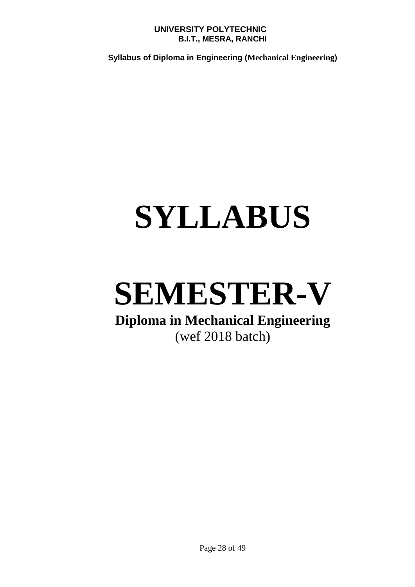**Syllabus of Diploma in Engineering (Mechanical Engineering)**

# **SYLLABUS**

## **SEMESTER-V**

### **Diploma in Mechanical Engineering** (wef 2018 batch)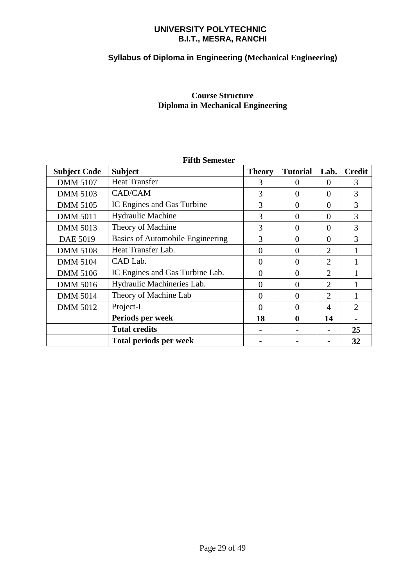### **Syllabus of Diploma in Engineering (Mechanical Engineering)**

#### **Course Structure Diploma in Mechanical Engineering**

| Fifth Semester      |                                  |               |                 |                       |               |  |
|---------------------|----------------------------------|---------------|-----------------|-----------------------|---------------|--|
| <b>Subject Code</b> | <b>Subject</b>                   | <b>Theory</b> | <b>Tutorial</b> | Lab.                  | <b>Credit</b> |  |
| <b>DMM 5107</b>     | <b>Heat Transfer</b>             | 3             | $\theta$        | $\theta$              | 3             |  |
| <b>DMM 5103</b>     | CAD/CAM                          | 3             | $\theta$        | $\theta$              | 3             |  |
| <b>DMM 5105</b>     | IC Engines and Gas Turbine       | 3             | $\Omega$        | $\Omega$              | 3             |  |
| <b>DMM 5011</b>     | <b>Hydraulic Machine</b>         | 3             | $\Omega$        | $\Omega$              | 3             |  |
| <b>DMM 5013</b>     | Theory of Machine                | 3             | $\Omega$        | $\Omega$              | 3             |  |
| <b>DAE 5019</b>     | Basics of Automobile Engineering | 3             | $\Omega$        | $\Omega$              | 3             |  |
| <b>DMM 5108</b>     | Heat Transfer Lab.               | $\theta$      | $\Omega$        | 2                     |               |  |
| <b>DMM 5104</b>     | CAD Lab.                         | 0             | $\Omega$        | 2                     |               |  |
| <b>DMM 5106</b>     | IC Engines and Gas Turbine Lab.  | $\Omega$      | $\Omega$        | 2                     |               |  |
| <b>DMM 5016</b>     | Hydraulic Machineries Lab.       | $\Omega$      | $\Omega$        | 2                     |               |  |
| <b>DMM 5014</b>     | Theory of Machine Lab            | 0             | $\Omega$        | $\mathcal{D}_{\cdot}$ |               |  |
| <b>DMM 5012</b>     | Project-I                        | 0             | $\Omega$        | 4                     | 2             |  |
|                     | Periods per week                 | 18            | $\bf{0}$        | 14                    |               |  |
|                     | <b>Total credits</b>             |               |                 |                       | 25            |  |
|                     | <b>Total periods per week</b>    |               |                 |                       | 32            |  |

### **Fifth Semester**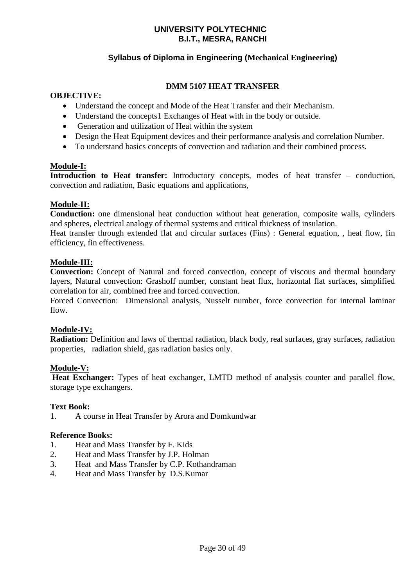#### **Syllabus of Diploma in Engineering (Mechanical Engineering)**

#### **DMM 5107 HEAT TRANSFER**

#### **OBJECTIVE:**

- Understand the concept and Mode of the Heat Transfer and their Mechanism.
- Understand the concepts1 Exchanges of Heat with in the body or outside.
- Generation and utilization of Heat within the system
- Design the Heat Equipment devices and their performance analysis and correlation Number.
- To understand basics concepts of convection and radiation and their combined process.

#### **Module-I:**

**Introduction to Heat transfer:** Introductory concepts, modes of heat transfer – conduction, convection and radiation, Basic equations and applications,

#### **Module-II:**

**Conduction:** one dimensional heat conduction without heat generation, composite walls, cylinders and spheres, electrical analogy of thermal systems and critical thickness of insulation.

Heat transfer through extended flat and circular surfaces (Fins) : General equation, , heat flow, fin efficiency, fin effectiveness.

#### **Module-III:**

**Convection:** Concept of Natural and forced convection, concept of viscous and thermal boundary layers, Natural convection: Grashoff number, constant heat flux, horizontal flat surfaces, simplified correlation for air, combined free and forced convection.

Forced Convection: Dimensional analysis, Nusselt number, force convection for internal laminar flow.

#### **Module-IV:**

**Radiation:** Definition and laws of thermal radiation, black body, real surfaces, gray surfaces, radiation properties, radiation shield, gas radiation basics only.

#### **Module-V:**

**Heat Exchanger:** Types of heat exchanger, LMTD method of analysis counter and parallel flow, storage type exchangers.

#### **Text Book:**

1. A course in Heat Transfer by Arora and Domkundwar

#### **Reference Books:**

- 1. Heat and Mass Transfer by F. Kids
- 2. Heat and Mass Transfer by J.P. Holman
- 3. Heat and Mass Transfer by C.P. Kothandraman
- 4. Heat and Mass Transfer by D.S.Kumar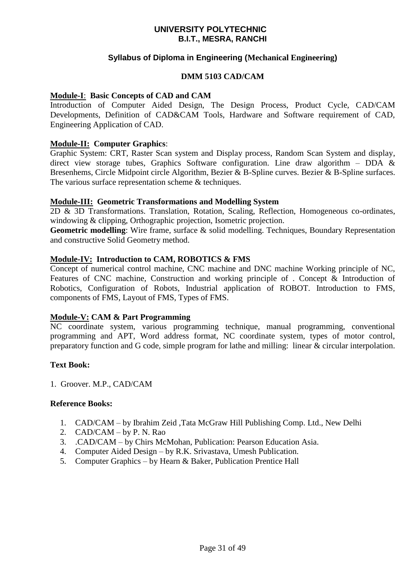#### **Syllabus of Diploma in Engineering (Mechanical Engineering)**

#### **DMM 5103 CAD/CAM**

#### **Module-I**: **Basic Concepts of CAD and CAM**

Introduction of Computer Aided Design, The Design Process, Product Cycle, CAD/CAM Developments, Definition of CAD&CAM Tools, Hardware and Software requirement of CAD, Engineering Application of CAD.

#### **Module-II: Computer Graphics**:

Graphic System: CRT, Raster Scan system and Display process, Random Scan System and display, direct view storage tubes, Graphics Software configuration. Line draw algorithm – DDA  $\&$ Bresenhems, Circle Midpoint circle Algorithm, Bezier & B-Spline curves. Bezier & B-Spline surfaces. The various surface representation scheme & techniques.

#### **Module-III: Geometric Transformations and Modelling System**

2D & 3D Transformations. Translation, Rotation, Scaling, Reflection, Homogeneous co-ordinates, windowing & clipping, Orthographic projection, Isometric projection.

**Geometric modelling**: Wire frame, surface & solid modelling. Techniques, Boundary Representation and constructive Solid Geometry method.

#### **Module-IV: Introduction to CAM, ROBOTICS & FMS**

Concept of numerical control machine, CNC machine and DNC machine Working principle of NC, Features of CNC machine, Construction and working principle of . Concept & Introduction of Robotics, Configuration of Robots, Industrial application of ROBOT. Introduction to FMS, components of FMS, Layout of FMS, Types of FMS.

#### **Module-V: CAM & Part Programming**

NC coordinate system, various programming technique, manual programming, conventional programming and APT, Word address format, NC coordinate system, types of motor control, preparatory function and G code, simple program for lathe and milling: linear & circular interpolation.

#### **Text Book:**

1. Groover. M.P., CAD/CAM

#### **Reference Books:**

- 1. CAD/CAM by Ibrahim Zeid ,Tata McGraw Hill Publishing Comp. Ltd., New Delhi
- 2. CAD/CAM by P. N. Rao
- 3. .CAD/CAM by Chirs McMohan, Publication: Pearson Education Asia.
- 4. Computer Aided Design by R.K. Srivastava, Umesh Publication.
- 5. Computer Graphics by Hearn & Baker, Publication Prentice Hall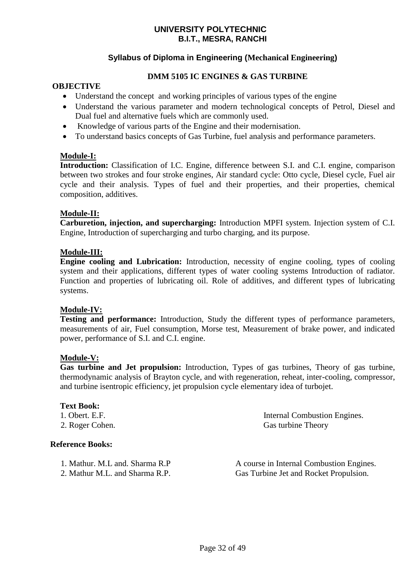#### **Syllabus of Diploma in Engineering (Mechanical Engineering)**

#### **DMM 5105 IC ENGINES & GAS TURBINE**

#### **OBJECTIVE**

- Understand the concept and working principles of various types of the engine
- Understand the various parameter and modern technological concepts of Petrol, Diesel and Dual fuel and alternative fuels which are commonly used.
- Knowledge of various parts of the Engine and their modernisation.
- To understand basics concepts of Gas Turbine, fuel analysis and performance parameters.

#### **Module-I:**

**Introduction:** Classification of I.C. Engine, difference between S.I. and C.I. engine, comparison between two strokes and four stroke engines, Air standard cycle: Otto cycle, Diesel cycle, Fuel air cycle and their analysis. Types of fuel and their properties, and their properties, chemical composition, additives.

#### **Module-II:**

**Carburetion, injection, and supercharging:** Introduction MPFI system. Injection system of C.I. Engine, Introduction of supercharging and turbo charging, and its purpose.

#### **Module-III:**

**Engine cooling and Lubrication:** Introduction, necessity of engine cooling, types of cooling system and their applications, different types of water cooling systems Introduction of radiator. Function and properties of lubricating oil. Role of additives, and different types of lubricating systems.

#### **Module-IV:**

**Testing and performance:** Introduction, Study the different types of performance parameters, measurements of air, Fuel consumption, Morse test, Measurement of brake power, and indicated power, performance of S.I. and C.I. engine.

#### **Module-V:**

**Gas turbine and Jet propulsion:** Introduction, Types of gas turbines, Theory of gas turbine, thermodynamic analysis of Brayton cycle, and with regeneration, reheat, inter-cooling, compressor, and turbine isentropic efficiency, jet propulsion cycle elementary idea of turbojet.

#### **Text Book:**

#### **Reference Books:**

1. Obert. E.F. Internal Combustion Engines. 2. Roger Cohen. Gas turbine Theory

1. Mathur. M.L and. Sharma R.P <br>A course in Internal Combustion Engines. 2. Mathur M.L. and Sharma R.P. Gas Turbine Jet and Rocket Propulsion.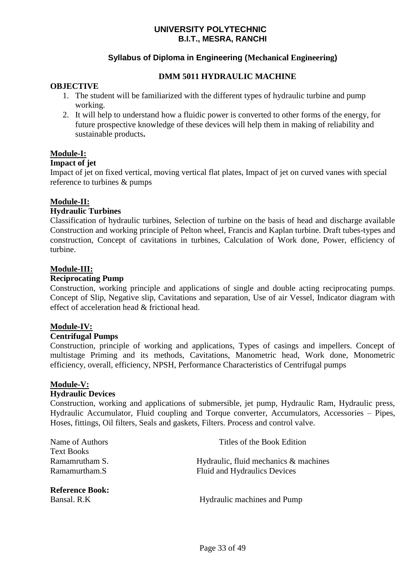#### **Syllabus of Diploma in Engineering (Mechanical Engineering)**

#### **DMM 5011 HYDRAULIC MACHINE**

#### **OBJECTIVE**

- 1. The student will be familiarized with the different types of hydraulic turbine and pump working.
- 2. It will help to understand how a fluidic power is converted to other forms of the energy, for future prospective knowledge of these devices will help them in making of reliability and sustainable products**.**

#### **Module-I:**

#### **Impact of jet**

Impact of jet on fixed vertical, moving vertical flat plates, Impact of jet on curved vanes with special reference to turbines & pumps

#### **Module-II:**

#### **Hydraulic Turbines**

Classification of hydraulic turbines, Selection of turbine on the basis of head and discharge available Construction and working principle of Pelton wheel, Francis and Kaplan turbine. Draft tubes-types and construction, Concept of cavitations in turbines, Calculation of Work done, Power, efficiency of turbine.

#### **Module-III:**

#### **Reciprocating Pump**

Construction, working principle and applications of single and double acting reciprocating pumps. Concept of Slip, Negative slip, Cavitations and separation, Use of air Vessel, Indicator diagram with effect of acceleration head & frictional head.

#### **Module-IV:**

#### **Centrifugal Pumps**

Construction, principle of working and applications, Types of casings and impellers. Concept of multistage Priming and its methods, Cavitations, Manometric head, Work done, Monometric efficiency, overall, efficiency, NPSH, Performance Characteristics of Centrifugal pumps

#### **Module-V:**

#### **Hydraulic Devices**

Construction, working and applications of submersible, jet pump, Hydraulic Ram, Hydraulic press, Hydraulic Accumulator, Fluid coupling and Torque converter, Accumulators, Accessories – Pipes, Hoses, fittings, Oil filters, Seals and gaskets, Filters. Process and control valve.

| Name of Authors        | Titles of the Book Edition               |
|------------------------|------------------------------------------|
| <b>Text Books</b>      |                                          |
| Ramamrutham S.         | Hydraulic, fluid mechanics $\&$ machines |
| Ramamurtham.S          | Fluid and Hydraulics Devices             |
| <b>Reference Book:</b> |                                          |
| Bansal. R.K            | Hydraulic machines and Pump              |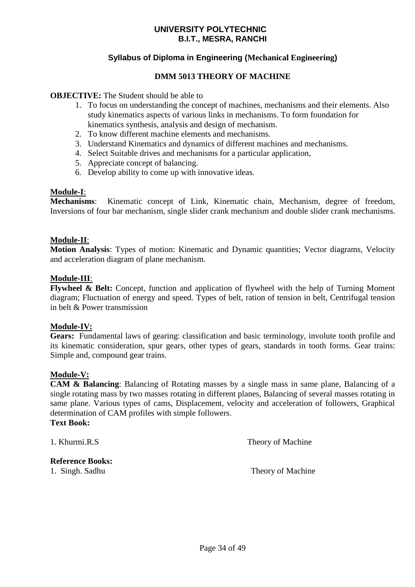#### **Syllabus of Diploma in Engineering (Mechanical Engineering)**

#### **DMM 5013 THEORY OF MACHINE**

#### **OBJECTIVE:** The Student should be able to

- 1. To focus on understanding the concept of machines, mechanisms and their elements. Also study kinematics aspects of various links in mechanisms. To form foundation for kinematics synthesis, analysis and design of mechanism.
- 2. To know different machine elements and mechanisms.
- 3. Understand Kinematics and dynamics of different machines and mechanisms.
- 4. Select Suitable drives and mechanisms for a particular application,
- 5. Appreciate concept of balancing.
- 6. Develop ability to come up with innovative ideas.

#### **Module-I**:

**Mechanisms**: Kinematic concept of Link, Kinematic chain, Mechanism, degree of freedom, Inversions of four bar mechanism, single slider crank mechanism and double slider crank mechanisms.

#### **Module-II**:

**Motion Analysis**: Types of motion: Kinematic and Dynamic quantities; Vector diagrams, Velocity and acceleration diagram of plane mechanism.

#### **Module-III**:

**Flywheel & Belt:** Concept, function and application of flywheel with the help of Turning Moment diagram; Fluctuation of energy and speed. Types of belt, ration of tension in belt, Centrifugal tension in belt & Power transmission

#### **Module-IV:**

**Gears:** Fundamental laws of gearing: classification and basic terminology, involute tooth profile and its kinematic consideration, spur gears, other types of gears, standards in tooth forms. Gear trains: Simple and, compound gear trains.

#### **Module-V:**

**CAM & Balancing**: Balancing of Rotating masses by a single mass in same plane, Balancing of a single rotating mass by two masses rotating in different planes, Balancing of several masses rotating in same plane. Various types of cams, Displacement, velocity and acceleration of followers, Graphical determination of CAM profiles with simple followers.

#### **Text Book:**

1. Khurmi.R.S Theory of Machine

#### **Reference Books:**

1. Singh. Sadhu Theory of Machine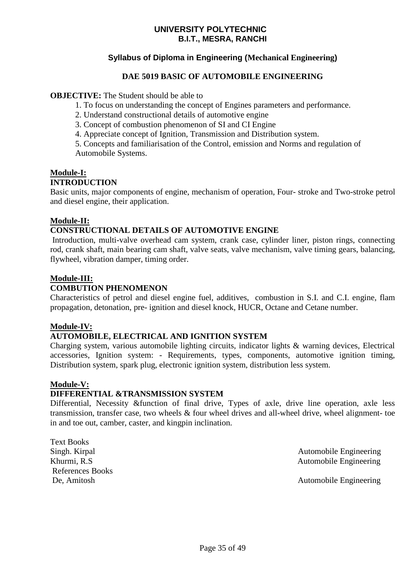#### **Syllabus of Diploma in Engineering (Mechanical Engineering)**

#### **DAE 5019 BASIC OF AUTOMOBILE ENGINEERING**

#### **OBJECTIVE:** The Student should be able to

- 1. To focus on understanding the concept of Engines parameters and performance.
- 2. Understand constructional details of automotive engine
- 3. Concept of combustion phenomenon of SI and CI Engine
- 4. Appreciate concept of Ignition, Transmission and Distribution system.

5. Concepts and familiarisation of the Control, emission and Norms and regulation of Automobile Systems.

#### **Module-I:**

#### **INTRODUCTION**

Basic units, major components of engine, mechanism of operation, Four- stroke and Two-stroke petrol and diesel engine, their application.

#### **Module-II:**

#### **CONSTRUCTIONAL DETAILS OF AUTOMOTIVE ENGINE**

Introduction, multi-valve overhead cam system, crank case, cylinder liner, piston rings, connecting rod, crank shaft, main bearing cam shaft, valve seats, valve mechanism, valve timing gears, balancing, flywheel, vibration damper, timing order.

#### **Module-III:**

#### **COMBUTION PHENOMENON**

Characteristics of petrol and diesel engine fuel, additives, combustion in S.I. and C.I. engine, flam propagation, detonation, pre- ignition and diesel knock, HUCR, Octane and Cetane number.

#### **Module-IV:**

#### **AUTOMOBILE, ELECTRICAL AND IGNITION SYSTEM**

Charging system, various automobile lighting circuits, indicator lights & warning devices, Electrical accessories, Ignition system: - Requirements, types, components, automotive ignition timing, Distribution system, spark plug, electronic ignition system, distribution less system.

#### **Module-V:**

#### **DIFFERENTIAL &TRANSMISSION SYSTEM**

Differential, Necessity &function of final drive, Types of axle, drive line operation, axle less transmission, transfer case, two wheels & four wheel drives and all-wheel drive, wheel alignment- toe in and toe out, camber, caster, and kingpin inclination.

Text Books References Books

Singh. Kirpal Automobile Engineering Khurmi, R.S Automobile Engineering

De, Amitosh Automobile Engineering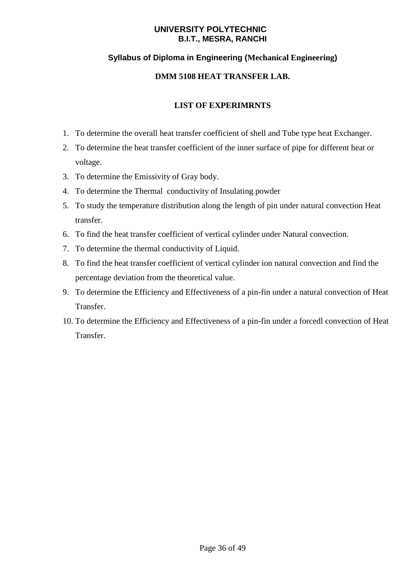#### **Syllabus of Diploma in Engineering (Mechanical Engineering)**

#### **DMM 5108 HEAT TRANSFER LAB.**

- 1. To determine the overall heat transfer coefficient of shell and Tube type heat Exchanger.
- 2. To determine the heat transfer coefficient of the inner surface of pipe for different heat or voltage.
- 3. To determine the Emissivity of Gray body.
- 4. To determine the Thermal conductivity of Insulating powder
- 5. To study the temperature distribution along the length of pin under natural convection Heat transfer.
- 6. To find the heat transfer coefficient of vertical cylinder under Natural convection.
- 7. To determine the thermal conductivity of Liquid.
- 8. To find the heat transfer coefficient of vertical cylinder ion natural convection and find the percentage deviation from the theoretical value.
- 9. To determine the Efficiency and Effectiveness of a pin-fin under a natural convection of Heat Transfer.
- 10. To determine the Efficiency and Effectiveness of a pin-fin under a forcedl convection of Heat Transfer.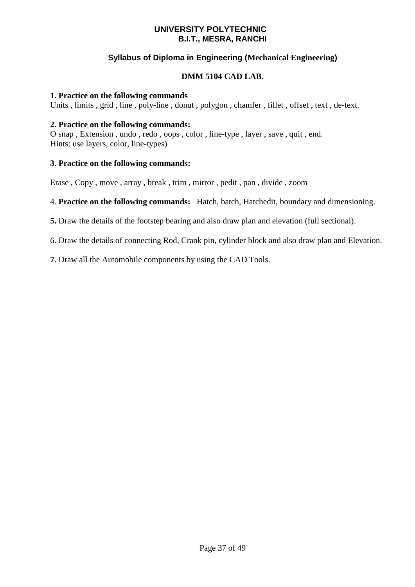#### **Syllabus of Diploma in Engineering (Mechanical Engineering)**

#### **DMM 5104 CAD LAB.**

#### **1. Practice on the following commands**

Units , limits , grid , line , poly-line , donut , polygon , chamfer , fillet , offset , text , de-text.

#### **2. Practice on the following commands:**

O snap , Extension , undo , redo , oops , color , line-type , layer , save , quit , end. Hints: use layers, color, line-types)

#### **3. Practice on the following commands:**

Erase , Copy , move , array , break , trim , mirror , pedit , pan , divide , zoom

4. **Practice on the following commands:** Hatch, batch, Hatchedit, boundary and dimensioning.

**5.** Draw the details of the footstep bearing and also draw plan and elevation (full sectional).

6. Draw the details of connecting Rod, Crank pin, cylinder block and also draw plan and Elevation.

**7**. Draw all the Automobile components by using the CAD Tools.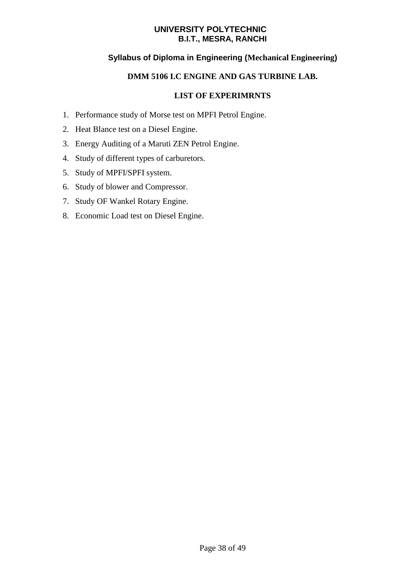#### **Syllabus of Diploma in Engineering (Mechanical Engineering)**

#### **DMM 5106 I.C ENGINE AND GAS TURBINE LAB.**

- 1. Performance study of Morse test on MPFI Petrol Engine.
- 2. Heat Blance test on a Diesel Engine.
- 3. Energy Auditing of a Maruti ZEN Petrol Engine.
- 4. Study of different types of carburetors.
- 5. Study of MPFI/SPFI system.
- 6. Study of blower and Compressor.
- 7. Study OF Wankel Rotary Engine.
- 8. Economic Load test on Diesel Engine.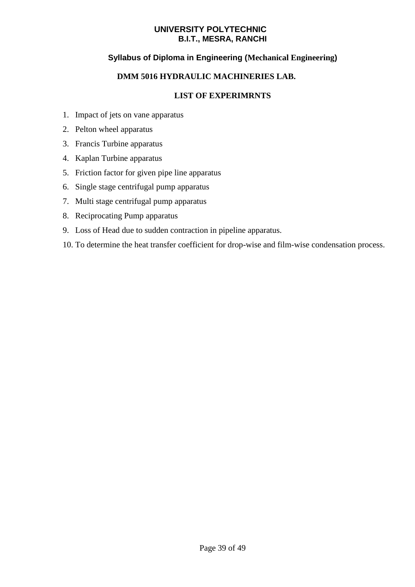#### **Syllabus of Diploma in Engineering (Mechanical Engineering)**

#### **DMM 5016 HYDRAULIC MACHINERIES LAB.**

- 1. Impact of jets on vane apparatus
- 2. Pelton wheel apparatus
- 3. Francis Turbine apparatus
- 4. Kaplan Turbine apparatus
- 5. Friction factor for given pipe line apparatus
- 6. Single stage centrifugal pump apparatus
- 7. Multi stage centrifugal pump apparatus
- 8. Reciprocating Pump apparatus
- 9. Loss of Head due to sudden contraction in pipeline apparatus.
- 10. To determine the heat transfer coefficient for drop-wise and film-wise condensation process.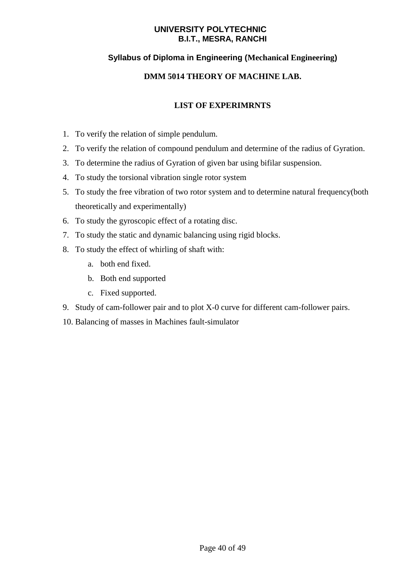#### **Syllabus of Diploma in Engineering (Mechanical Engineering)**

#### **DMM 5014 THEORY OF MACHINE LAB.**

- 1. To verify the relation of simple pendulum.
- 2. To verify the relation of compound pendulum and determine of the radius of Gyration.
- 3. To determine the radius of Gyration of given bar using bifilar suspension.
- 4. To study the torsional vibration single rotor system
- 5. To study the free vibration of two rotor system and to determine natural frequency(both theoretically and experimentally)
- 6. To study the gyroscopic effect of a rotating disc.
- 7. To study the static and dynamic balancing using rigid blocks.
- 8. To study the effect of whirling of shaft with:
	- a. both end fixed.
	- b. Both end supported
	- c. Fixed supported.
- 9. Study of cam-follower pair and to plot X-0 curve for different cam-follower pairs.
- 10. Balancing of masses in Machines fault-simulator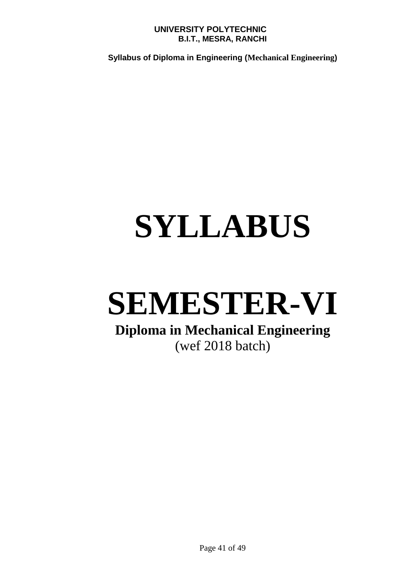**Syllabus of Diploma in Engineering (Mechanical Engineering)**

# **SYLLABUS**

## **SEMESTER-VI**

### **Diploma in Mechanical Engineering** (wef 2018 batch)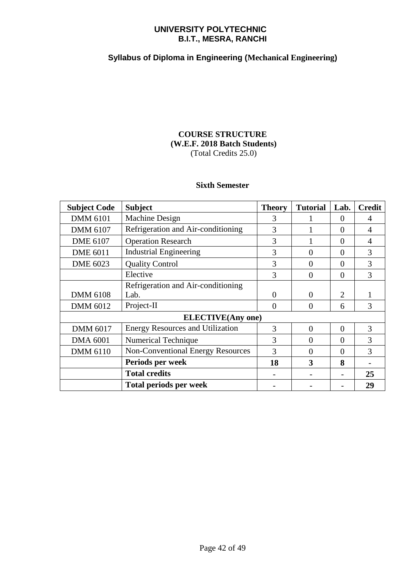#### **Syllabus of Diploma in Engineering (Mechanical Engineering)**

#### **COURSE STRUCTURE (W.E.F. 2018 Batch Students)** (Total Credits 25.0)

#### **Sixth Semester**

| <b>Subject Code</b>      | <b>Subject</b>                           | <b>Theory</b> | <b>Tutorial</b> | Lab.           | <b>Credit</b> |
|--------------------------|------------------------------------------|---------------|-----------------|----------------|---------------|
| <b>DMM 6101</b>          | Machine Design                           | 3             |                 | $\theta$       | 4             |
| <b>DMM 6107</b>          | Refrigeration and Air-conditioning       | 3             |                 | $\Omega$       | 4             |
| <b>DME 6107</b>          | <b>Operation Research</b>                | 3             |                 | $\Omega$       | 4             |
| <b>DME 6011</b>          | <b>Industrial Engineering</b>            | 3             | $\Omega$        | $\Omega$       | 3             |
| <b>DME 6023</b>          | <b>Quality Control</b>                   | 3             | $\theta$        | $\Omega$       | 3             |
|                          | Elective                                 | 3             | $\overline{0}$  | $\overline{0}$ | 3             |
|                          | Refrigeration and Air-conditioning       |               |                 |                |               |
| <b>DMM 6108</b>          | Lab.                                     | $\Omega$      | $\theta$        | 2              |               |
| <b>DMM 6012</b>          | Project-II                               | 0             | $\theta$        | 6              | 3             |
| <b>ELECTIVE(Any one)</b> |                                          |               |                 |                |               |
| <b>DMM 6017</b>          | <b>Energy Resources and Utilization</b>  | 3             | $\theta$        | $\Omega$       | 3             |
| <b>DMA 6001</b>          | <b>Numerical Technique</b>               | 3             | $\theta$        | $\Omega$       | 3             |
| <b>DMM 6110</b>          | <b>Non-Conventional Energy Resources</b> | 3             | 0               | $\Omega$       | 3             |
|                          | Periods per week                         | 18            | 3               | 8              |               |
|                          | <b>Total credits</b>                     |               |                 |                | 25            |
|                          | <b>Total periods per week</b>            |               |                 |                | 29            |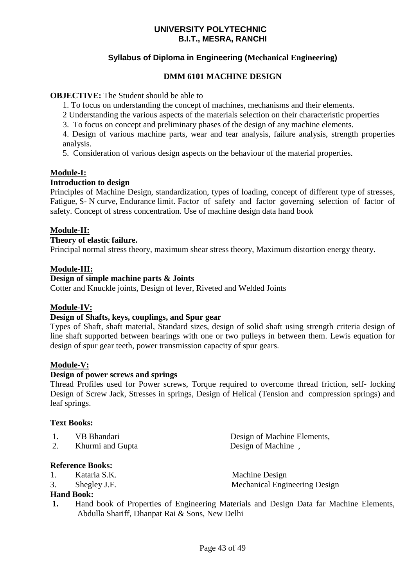#### **Syllabus of Diploma in Engineering (Mechanical Engineering)**

#### **DMM 6101 MACHINE DESIGN**

#### **OBJECTIVE:** The Student should be able to

1. To focus on understanding the concept of machines, mechanisms and their elements.

2 Understanding the various aspects of the materials selection on their characteristic properties

3. To focus on concept and preliminary phases of the design of any machine elements.

4. Design of various machine parts, wear and tear analysis, failure analysis, strength properties analysis.

5. Consideration of various design aspects on the behaviour of the material properties.

#### **Module-I:**

#### **Introduction to design**

Principles of Machine Design, standardization, types of loading, concept of different type of stresses, Fatigue, S- N curve, Endurance limit. Factor of safety and factor governing selection of factor of safety. Concept of stress concentration. Use of machine design data hand book

#### **Module-II:**

#### **Theory of elastic failure.**

Principal normal stress theory, maximum shear stress theory, Maximum distortion energy theory.

#### **Module-III:**

#### **Design of simple machine parts & Joints**

Cotter and Knuckle joints, Design of lever, Riveted and Welded Joints

#### **Module-IV:**

#### **Design of Shafts, keys, couplings, and Spur gear**

Types of Shaft, shaft material, Standard sizes, design of solid shaft using strength criteria design of line shaft supported between bearings with one or two pulleys in between them. Lewis equation for design of spur gear teeth, power transmission capacity of spur gears.

#### **Module-V:**

#### **Design of power screws and springs**

Thread Profiles used for Power screws, Torque required to overcome thread friction, self- locking Design of Screw Jack, Stresses in springs, Design of Helical (Tension and compression springs) and leaf springs.

#### **Text Books:**

| VB Bhandari | Design |
|-------------|--------|
|-------------|--------|

2. Khurmi and Gupta Design of Machine,

#### **Reference Books:**

- 1. Kataria S.K. Machine Design
- 

3. Shegley J.F. Mechanical Engineering Design

of Machine Elements,

#### **Hand Book:**

**1.** Hand book of Properties of Engineering Materials and Design Data far Machine Elements, Abdulla Shariff, Dhanpat Rai & Sons, New Delhi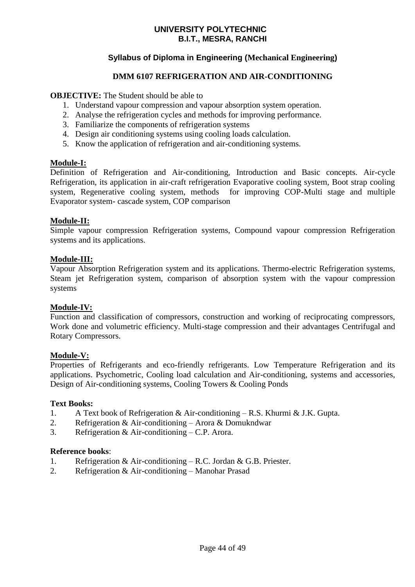#### **Syllabus of Diploma in Engineering (Mechanical Engineering)**

#### **DMM 6107 REFRIGERATION AND AIR-CONDITIONING**

#### **OBJECTIVE:** The Student should be able to

- 1. Understand vapour compression and vapour absorption system operation.
- 2. Analyse the refrigeration cycles and methods for improving performance.
- 3. Familiarize the components of refrigeration systems
- 4. Design air conditioning systems using cooling loads calculation.
- 5. Know the application of refrigeration and air-conditioning systems.

#### **Module-I:**

Definition of Refrigeration and Air-conditioning, Introduction and Basic concepts. Air-cycle Refrigeration, its application in air-craft refrigeration Evaporative cooling system, Boot strap cooling system, Regenerative cooling system, methods for improving COP-Multi stage and multiple Evaporator system- cascade system, COP comparison

#### **Module-II:**

Simple vapour compression Refrigeration systems, Compound vapour compression Refrigeration systems and its applications.

#### **Module-III:**

Vapour Absorption Refrigeration system and its applications. Thermo-electric Refrigeration systems, Steam jet Refrigeration system, comparison of absorption system with the vapour compression systems

#### **Module-IV:**

Function and classification of compressors, construction and working of reciprocating compressors, Work done and volumetric efficiency. Multi-stage compression and their advantages Centrifugal and Rotary Compressors.

#### **Module-V:**

Properties of Refrigerants and eco-friendly refrigerants. Low Temperature Refrigeration and its applications. Psychometric, Cooling load calculation and Air-conditioning, systems and accessories, Design of Air-conditioning systems, Cooling Towers & Cooling Ponds

#### **Text Books:**

- 1. A Text book of Refrigeration & Air-conditioning R.S. Khurmi & J.K. Gupta.
- 2. Refrigeration & Air-conditioning Arora & Domukndwar
- 3. Refrigeration & Air-conditioning C.P. Arora.

#### **Reference books**:

- 1. Refrigeration & Air-conditioning R.C. Jordan & G.B. Priester.
- 2. Refrigeration & Air-conditioning Manohar Prasad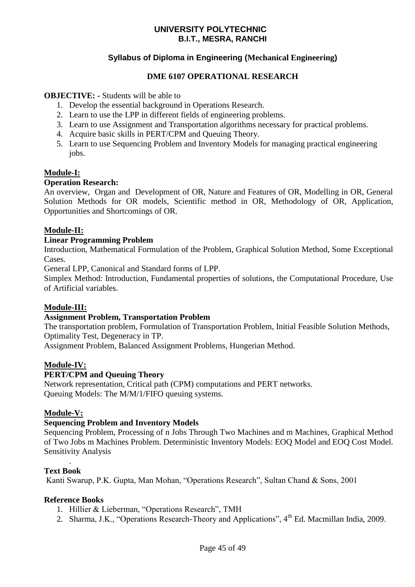#### **Syllabus of Diploma in Engineering (Mechanical Engineering)**

#### **DME 6107 OPERATIONAL RESEARCH**

#### **OBJECTIVE: -** Students will be able to

- 1. Develop the essential background in Operations Research.
- 2. Learn to use the LPP in different fields of engineering problems.
- 3. Learn to use Assignment and Transportation algorithms necessary for practical problems.
- 4. Acquire basic skills in PERT/CPM and Queuing Theory.
- 5. Learn to use Sequencing Problem and Inventory Models for managing practical engineering jobs.

#### **Module-I:**

#### **Operation Research:**

An overview, Organ and Development of OR, Nature and Features of OR, Modelling in OR, General Solution Methods for OR models, Scientific method in OR, Methodology of OR, Application, Opportunities and Shortcomings of OR.

#### **Module-II:**

#### **Linear Programming Problem**

Introduction, Mathematical Formulation of the Problem, Graphical Solution Method, Some Exceptional Cases.

General LPP, Canonical and Standard forms of LPP.

Simplex Method: Introduction, Fundamental properties of solutions, the Computational Procedure, Use of Artificial variables.

#### **Module-III:**

#### **Assignment Problem, Transportation Problem**

The transportation problem, Formulation of Transportation Problem, Initial Feasible Solution Methods, Optimality Test, Degeneracy in TP.

Assignment Problem, Balanced Assignment Problems, Hungerian Method.

#### **Module-IV:**

#### **PERT/CPM and Queuing Theory**

Network representation, Critical path (CPM) computations and PERT networks. Queuing Models: The M/M/1/FIFO queuing systems.

#### **Module-V:**

#### **Sequencing Problem and Inventory Models**

Sequencing Problem, Processing of n Jobs Through Two Machines and m Machines, Graphical Method of Two Jobs m Machines Problem. Deterministic Inventory Models: EOQ Model and EOQ Cost Model. Sensitivity Analysis

#### **Text Book**

.

Kanti Swarup, P.K. Gupta, Man Mohan, "Operations Research", Sultan Chand & Sons, 2001

#### **Reference Books**

- 1. Hillier & Lieberman, "Operations Research", TMH
- 2. Sharma, J.K., "Operations Research-Theory and Applications", 4<sup>th</sup> Ed. Macmillan India, 2009.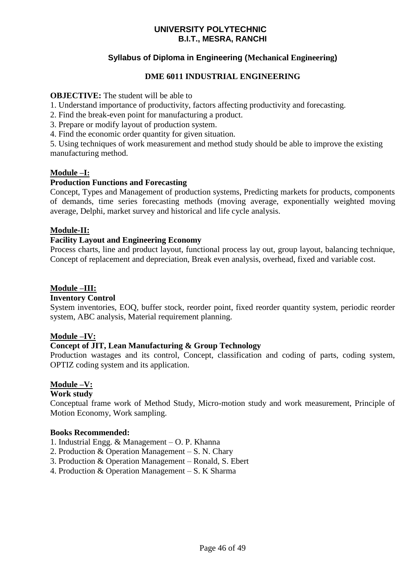#### **Syllabus of Diploma in Engineering (Mechanical Engineering)**

#### **DME 6011 INDUSTRIAL ENGINEERING**

#### **OBJECTIVE:** The student will be able to

- 1. Understand importance of productivity, factors affecting productivity and forecasting.
- 2. Find the break-even point for manufacturing a product.
- 3. Prepare or modify layout of production system.
- 4. Find the economic order quantity for given situation.

5. Using techniques of work measurement and method study should be able to improve the existing manufacturing method.

#### **Module –I:**

#### **Production Functions and Forecasting**

Concept, Types and Management of production systems, Predicting markets for products, components of demands, time series forecasting methods (moving average, exponentially weighted moving average, Delphi, market survey and historical and life cycle analysis.

#### **Module-II:**

#### **Facility Layout and Engineering Economy**

Process charts, line and product layout, functional process lay out, group layout, balancing technique, Concept of replacement and depreciation, Break even analysis, overhead, fixed and variable cost.

#### **Module –III:**

#### **Inventory Control**

System inventories, EOQ, buffer stock, reorder point, fixed reorder quantity system, periodic reorder system, ABC analysis, Material requirement planning.

#### **Module –IV:**

#### **Concept of JIT, Lean Manufacturing & Group Technology**

Production wastages and its control, Concept, classification and coding of parts, coding system, OPTIZ coding system and its application.

#### **Module –V:**

#### **Work study**

Conceptual frame work of Method Study, Micro-motion study and work measurement, Principle of Motion Economy, Work sampling.

#### **Books Recommended:**

- 1. Industrial Engg. & Management O. P. Khanna
- 2. Production & Operation Management S. N. Chary
- 3. Production & Operation Management Ronald, S. Ebert
- 4. Production & Operation Management S. K Sharma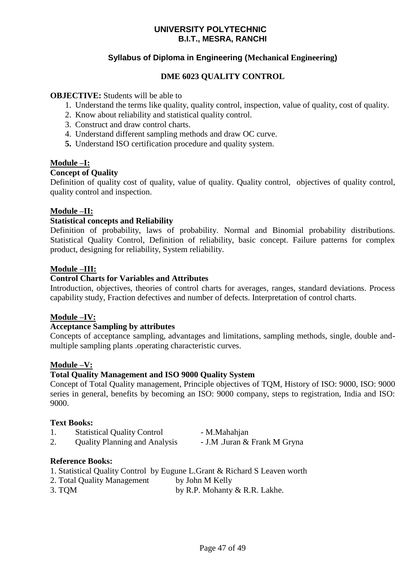#### **Syllabus of Diploma in Engineering (Mechanical Engineering)**

#### **DME 6023 QUALITY CONTROL**

#### **OBJECTIVE:** Students will be able to

- 1. Understand the terms like quality, quality control, inspection, value of quality, cost of quality.
- 2. Know about reliability and statistical quality control.
- 3. Construct and draw control charts.
- 4. Understand different sampling methods and draw OC curve.
- **5.** Understand ISO certification procedure and quality system.

#### **Module –I:**

#### **Concept of Quality**

Definition of quality cost of quality, value of quality. Quality control, objectives of quality control, quality control and inspection.

#### **Module –II:**

#### **Statistical concepts and Reliability**

Definition of probability, laws of probability. Normal and Binomial probability distributions. Statistical Quality Control, Definition of reliability, basic concept. Failure patterns for complex product, designing for reliability, System reliability.

#### **Module –III:**

#### **Control Charts for Variables and Attributes**

Introduction, objectives, theories of control charts for averages, ranges, standard deviations. Process capability study, Fraction defectives and number of defects. Interpretation of control charts.

#### **Module –IV:**

#### **Acceptance Sampling by attributes**

Concepts of acceptance sampling, advantages and limitations, sampling methods, single, double andmultiple sampling plants .operating characteristic curves.

#### **Module –V:**

#### **Total Quality Management and ISO 9000 Quality System**

Concept of Total Quality management, Principle objectives of TQM, History of ISO: 9000, ISO: 9000 series in general, benefits by becoming an ISO: 9000 company, steps to registration, India and ISO: 9000.

#### **Text Books:**

- 1. Statistical Quality Control M.Mahahian
- 
- 2. Quality Planning and Analysis J.M .Juran & Frank M Gryna

- **Reference Books:**
- 1. Statistical Quality Control by Eugune L.Grant & Richard S Leaven worth
- 2. Total Quality Management by John M Kelly
- 3. TQM by R.P. Mohanty & R.R. Lakhe.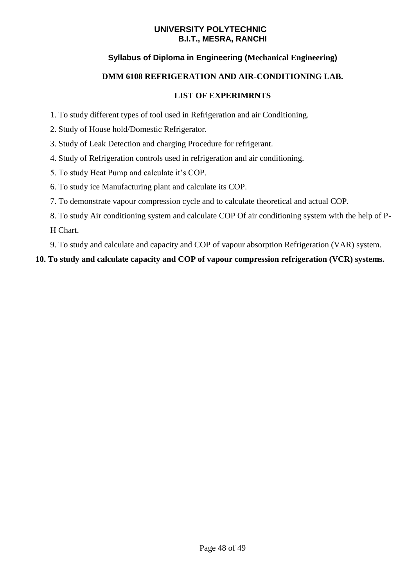#### **Syllabus of Diploma in Engineering (Mechanical Engineering)**

#### **DMM 6108 REFRIGERATION AND AIR-CONDITIONING LAB.**

#### **LIST OF EXPERIMRNTS**

- 1. To study different types of tool used in Refrigeration and air Conditioning.
- 2. Study of House hold/Domestic Refrigerator.
- 3. Study of Leak Detection and charging Procedure for refrigerant.
- 4. Study of Refrigeration controls used in refrigeration and air conditioning.
- 5. To study Heat Pump and calculate it's COP.
- 6. To study ice Manufacturing plant and calculate its COP.
- 7. To demonstrate vapour compression cycle and to calculate theoretical and actual COP.
- 8. To study Air conditioning system and calculate COP Of air conditioning system with the help of P-H Chart.
- 9. To study and calculate and capacity and COP of vapour absorption Refrigeration (VAR) system.

#### **10. To study and calculate capacity and COP of vapour compression refrigeration (VCR) systems.**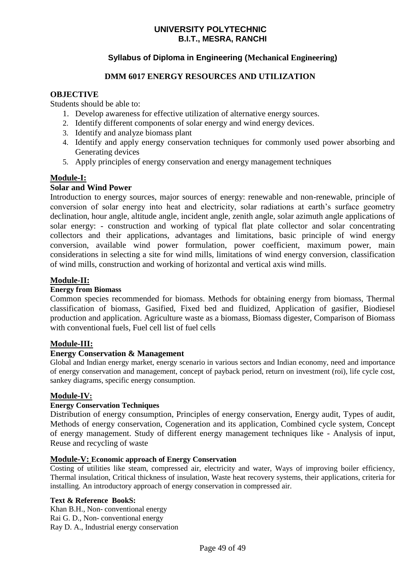#### **Syllabus of Diploma in Engineering (Mechanical Engineering)**

#### **DMM 6017 ENERGY RESOURCES AND UTILIZATION**

#### **OBJECTIVE**

Students should be able to:

- 1. Develop awareness for effective utilization of alternative energy sources.
- 2. Identify different components of solar energy and wind energy devices.
- 3. Identify and analyze biomass plant
- 4. Identify and apply energy conservation techniques for commonly used power absorbing and Generating devices
- 5. Apply principles of energy conservation and energy management techniques

#### **Module-I:**

#### **Solar and Wind Power**

Introduction to energy sources, major sources of energy: renewable and non-renewable, principle of conversion of solar energy into heat and electricity, solar radiations at earth's surface geometry declination, hour angle, altitude angle, incident angle, zenith angle, solar azimuth angle applications of solar energy: - construction and working of typical flat plate collector and solar concentrating collectors and their applications, advantages and limitations, basic principle of wind energy conversion, available wind power formulation, power coefficient, maximum power, main considerations in selecting a site for wind mills, limitations of wind energy conversion, classification of wind mills, construction and working of horizontal and vertical axis wind mills.

#### **Module-II:**

#### **Energy from Biomass**

Common species recommended for biomass. Methods for obtaining energy from biomass, Thermal classification of biomass, Gasified, Fixed bed and fluidized, Application of gasifier, Biodiesel production and application. Agriculture waste as a biomass, Biomass digester, Comparison of Biomass with conventional fuels, Fuel cell list of fuel cells

#### **Module-III:**

#### **Energy Conservation & Management**

Global and Indian energy market, energy scenario in various sectors and Indian economy, need and importance of energy conservation and management, concept of payback period, return on investment (roi), life cycle cost, sankey diagrams, specific energy consumption.

#### **Module-IV:**

#### **Energy Conservation Techniques**

Distribution of energy consumption, Principles of energy conservation, Energy audit, Types of audit, Methods of energy conservation, Cogeneration and its application, Combined cycle system, Concept of energy management. Study of different energy management techniques like - Analysis of input, Reuse and recycling of waste

#### **Module-V: Economic approach of Energy Conservation**

Costing of utilities like steam, compressed air, electricity and water, Ways of improving boiler efficiency, Thermal insulation, Critical thickness of insulation, Waste heat recovery systems, their applications, criteria for installing. An introductory approach of energy conservation in compressed air.

#### **Text & Reference BookS:**

Khan B.H., Non- conventional energy Rai G. D., Non- conventional energy Ray D. A., Industrial energy conservation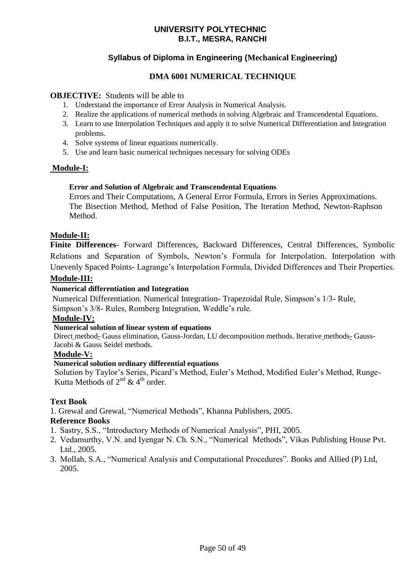#### **Syllabus of Diploma in Engineering (Mechanical Engineering)**

#### **DMA 6001 NUMERICAL TECHNIQUE**

#### **OBJECTIVE:** Students will be able to

- 1. Understand the importance of Error Analysis in Numerical Analysis.
- 2. Realize the applications of numerical methods in solving Algebraic and Transcendental Equations.
- 3. Learn to use Interpolation Techniques and apply it to solve Numerical Differentiation and Integration problems.
- 4. Solve systems of linear equations numerically.
- 5. Use and learn basic numerical techniques necessary for solving ODEs

#### **Module-I:**

#### **Error and Solution of Algebraic and Transcendental Equations**

Errors and Their Computations, A General Error Formula, Errors in Series Approximations. The Bisection Method, Method of False Position, The Iteration Method, Newton-Raphson Method.

#### **Module-II:**

**Finite Differences**- Forward Differences, Backward Differences, Central Differences, Symbolic Relations and Separation of Symbols, Newton's Formula for Interpolation. Interpolation with Unevenly Spaced Points- Lagrange's Interpolation Formula, Divided Differences and Their Properties.

#### **Module-III:**

#### **Numerical differentiation and Integration**

 Numerical Differentiation. Numerical Integration- Trapezoidal Rule, Simpson's 1/3- Rule, Simpson's 3/8- Rules, Romberg Integration, Weddle's rule.

#### **Module-IV:**

#### **Numerical solution of linear system of equations**

 Direct method- Gauss elimination, Gauss-Jordan, LU decomposition methods. Iterative methods- Gauss- Jacobi & Gauss Seidel methods.

#### **Module-V:**

#### **Numerical solution ordinary differential equations**

 Solution by Taylor's Series, Picard's Method, Euler's Method, Modified Euler's Method, Runge- Kutta Methods of  $2^{nd}$  &  $4^{th}$  order.

#### **Text Book**

1. Grewal and Grewal, "Numerical Methods", Khanna Publishers, 2005.

#### **Reference Books**

- 1. Sastry, S.S., "Introductory Methods of Numerical Analysis", PHI, 2005.
- 2. Vedamurthy, V.N. and Iyengar N. Ch. S.N., "Numerical Methods", Vikas Publishing House Pvt. Ltd., 2005.
- 3. Mollah, S.A., "Numerical Analysis and Computational Procedures". Books and Allied (P) Ltd, 2005.